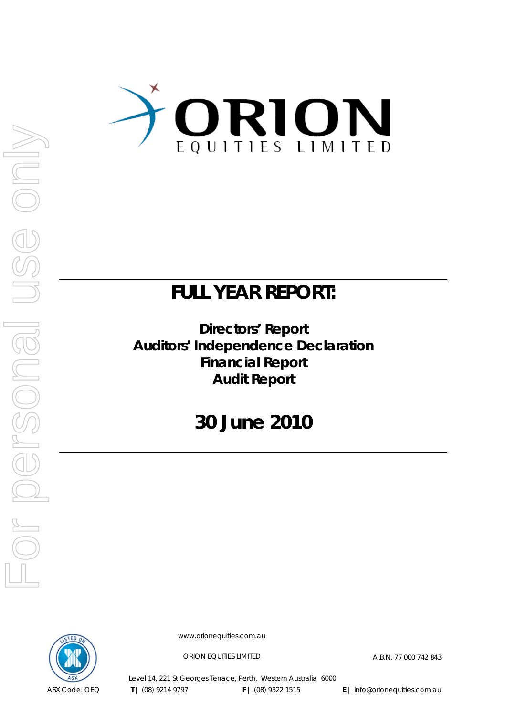

# **FULL YEAR REPORT:**

**Directors' Report Auditors' Independence Declaration Financial Report Audit Report** 

# **30 June 2010**



www.orionequities.com.au

ORION EQUITIES LIMITED A.B.N. 77 000 742 843

Level 14, 221 St Georges Terrace, Perth, Western Australia 6000  **T** | (08) 9214 9797 **F** | (08) 9322 1515 **E** | info@orionequities.com.au

For personal use only Se only r personal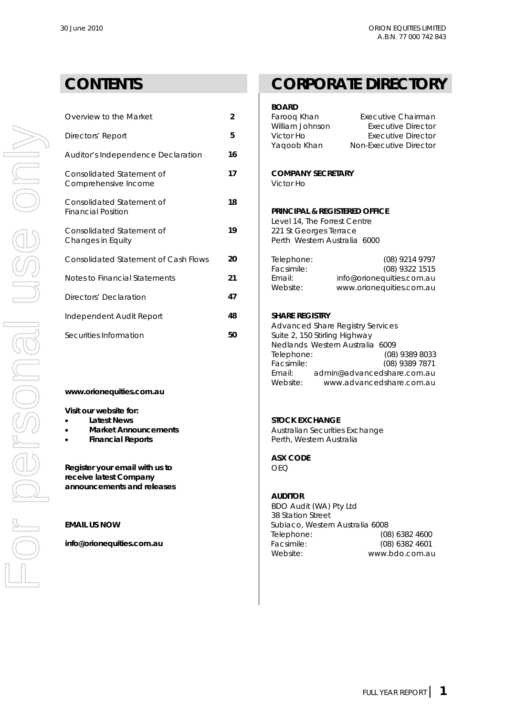| L                        |
|--------------------------|
|                          |
|                          |
| I                        |
|                          |
|                          |
|                          |
|                          |
| J<br>$\left(\right)$     |
| çì                       |
|                          |
| l                        |
| $\overline{\mathcal{L}}$ |
| $\bigodot$               |
| L                        |

|                                                   |                | <b>BUARD</b>                                           |                                                        |  |
|---------------------------------------------------|----------------|--------------------------------------------------------|--------------------------------------------------------|--|
| Overview to the Market                            | $\overline{2}$ | Farooq Khan                                            | Executive Chairman                                     |  |
| Directors' Report                                 | 5              | William Johnson<br>Victor Ho                           | <b>Executive Director</b><br><b>Executive Director</b> |  |
|                                                   |                | Yaqoob Khan                                            | Non-Executive Director                                 |  |
| Auditor's Independence Declaration                | 16             |                                                        |                                                        |  |
| Consolidated Statement of<br>Comprehensive Income | 17             | <b>COMPANY SECRETARY</b><br>Victor Ho                  |                                                        |  |
| Consolidated Statement of                         | 18             |                                                        |                                                        |  |
| Financial Position                                |                | <b>PRINCIPAL &amp; REGISTERED OFFICE</b>               |                                                        |  |
| Consolidated Statement of                         | 19             | Level 14, The Forrest Centre<br>221 St Georges Terrace |                                                        |  |
| Changes in Equity                                 |                | Perth Western Australia 6000                           |                                                        |  |
| Consolidated Statement of Cash Flows              | 20             | Telephone:                                             | (08) 9214 9797                                         |  |
|                                                   |                | Facsimile:                                             | (08) 9322 1515                                         |  |
| Notes to Financial Statements                     | 21             | Email:                                                 | info@orionequities.com.au                              |  |
| Directors' Declaration                            | 47             | Website:                                               | www.orionequities.com.au                               |  |
| Independent Audit Report                          | 48             | <b>SHARE REGISTRY</b>                                  |                                                        |  |
|                                                   |                |                                                        | <b>Advanced Share Registry Services</b>                |  |
| Securities Information                            | 50             | Suite 2, 150 Stirling Highway                          | Nedlands Western Australia 6009                        |  |
|                                                   |                |                                                        | $T_{\Omega}$   anbana: $(0.0)$   0.200  0.22           |  |

## **www.orionequities.com.au**

- **Latest News** STOCK EXCHANGE **STOCK EXCHANGE AND STOCK EXCHANGE AND STOCK EXCHANGE AND STOCK EXCHANGE AND STOCK EXCHANGE AND STOCK EXCHANGE AND STOCK EXCHANGE AND STOCK EXCHANGE AND STOCK EXCHANGE AND STOCK EXCHANGE AND ST**
- Market Announcements **Australian Securities Exchange Exchange Exchange Exchange Exchange Exchange Exchange Exchange Exchange Exchange Exchange Exchange Exchange Exchange Exchange Exchange Exchange Exchange Exchange Excha**
- **Financial Reports Performance Australian Australian Australian Australian Australian Australian Australian Australian Australian Australian Australian Australian Australian Australian Australian Australian Australian Au**

# **CONTENTS CORPORATE DIRECTORY**

# **BOARD**

| Overview to the Market                                                                                                                         | $\overline{2}$ | DUAKU<br>Farooq Khan<br>Executive Chairman                                                                                                                                                                       |
|------------------------------------------------------------------------------------------------------------------------------------------------|----------------|------------------------------------------------------------------------------------------------------------------------------------------------------------------------------------------------------------------|
| Directors' Report                                                                                                                              | 5              | William Johnson<br><b>Executive Director</b><br>Victor Ho<br><b>Executive Director</b><br>Yaqoob Khan<br>Non-Executive Director                                                                                  |
| Auditor's Independence Declaration                                                                                                             | 16             |                                                                                                                                                                                                                  |
| Consolidated Statement of<br>Comprehensive Income                                                                                              | 17             | <b>COMPANY SECRETARY</b><br>Victor Ho                                                                                                                                                                            |
| Consolidated Statement of<br><b>Financial Position</b>                                                                                         | 18             | <b>PRINCIPAL &amp; REGISTERED OFFICE</b><br>Level 14, The Forrest Centre                                                                                                                                         |
| Consolidated Statement of<br>Changes in Equity                                                                                                 | 19             | 221 St Georges Terrace<br>Perth Western Australia 6000                                                                                                                                                           |
| <b>Consolidated Statement of Cash Flows</b>                                                                                                    | 20             | Telephone:<br>(08) 9214 9797<br>Facsimile:<br>(08) 9322 1515                                                                                                                                                     |
| Notes to Financial Statements                                                                                                                  | 21             | Email:<br>info@orionequities.com.au<br>Website:<br>www.orionequities.com.au                                                                                                                                      |
| Directors' Declaration                                                                                                                         | 47             |                                                                                                                                                                                                                  |
| Independent Audit Report                                                                                                                       | 48             | <b>SHARE REGISTRY</b><br><b>Advanced Share Registry Services</b>                                                                                                                                                 |
| Securities Information<br>www.orionequities.com.au                                                                                             | 50             | Suite 2, 150 Stirling Highway<br>Nedlands Western Australia 6009<br>Telephone:<br>(08) 9389 8033<br>Facsimile:<br>(08) 9389 7871<br>Email:<br>admin@advancedshare.com.au<br>Website:<br>www.advancedshare.com.au |
|                                                                                                                                                |                |                                                                                                                                                                                                                  |
| Visit our website for:<br><b>Latest News</b><br>$\bullet$<br><b>Market Announcements</b><br>$\bullet$<br><b>Financial Reports</b><br>$\bullet$ |                | <b>STOCK EXCHANGE</b><br>Australian Securities Exchange<br>Perth, Western Australia                                                                                                                              |
| Register your email with us to<br>receive latest Company                                                                                       |                | <b>ASX CODE</b><br><b>OEQ</b>                                                                                                                                                                                    |
| announcements and releases<br>email us now<br>info@orionequities.com.au                                                                        |                | <b>AUDITOR</b><br>BDO Audit (WA) Pty Ltd<br>38 Station Street<br>Subiaco, Western Australia 6008<br>Telephone:<br>$(08)$ 6382 4600<br>Facsimile:<br>$(08)$ 6382 4601                                             |
|                                                                                                                                                |                | Website:<br>www.bdo.com.au                                                                                                                                                                                       |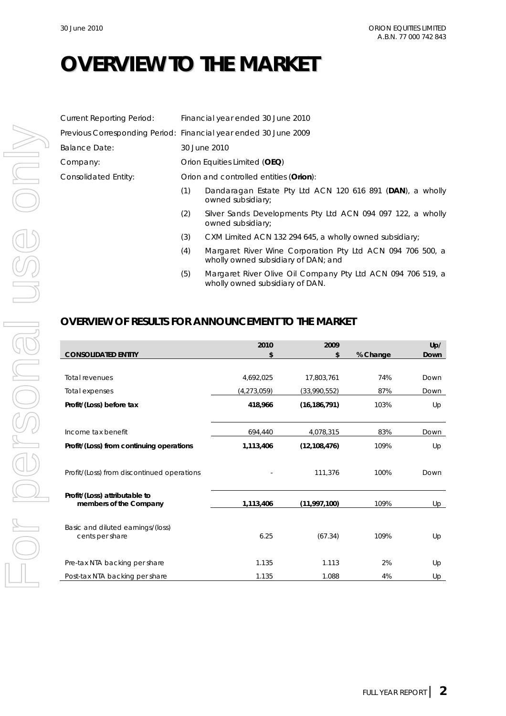# **OVERVIEW TO THE MARKET**

Balance Date: 30 June 2010 Company: Orion Equities Limited (**OEQ**)

Current Reporting Period: Financial year ended 30 June 2010

Previous Corresponding Period: Financial year ended 30 June 2009

Consolidated Entity: Orion and controlled entities (**Orion**):

- (1) Dandaragan Estate Pty Ltd ACN 120 616 891 (**DAN**), a wholly owned subsidiary;
- (2) Silver Sands Developments Pty Ltd ACN 094 097 122, a wholly owned subsidiary;
- (3) CXM Limited ACN 132 294 645, a wholly owned subsidiary;
- (4) Margaret River Wine Corporation Pty Ltd ACN 094 706 500, a wholly owned subsidiary of DAN; and
- (5) Margaret River Olive Oil Company Pty Ltd ACN 094 706 519, a wholly owned subsidiary of DAN.

# **OVERVIEW OF RESULTS FOR ANNOUNCEMENT TO THE MARKET**

|                                            | 2010          | 2009           |          | Up/  |
|--------------------------------------------|---------------|----------------|----------|------|
| <b>CONSOLIDATED ENTITY</b>                 | \$            | \$             | % Change | Down |
|                                            |               |                |          |      |
| <b>Total revenues</b>                      | 4,692,025     | 17,803,761     | 74%      | Down |
| Total expenses                             | (4, 273, 059) | (33,990,552)   | 87%      | Down |
| Profit/(Loss) before tax                   | 418,966       | (16, 186, 791) | 103%     | Up   |
|                                            |               |                |          |      |
| Income tax benefit                         | 694,440       | 4,078,315      | 83%      | Down |
| Profit/(Loss) from continuing operations   | 1,113,406     | (12, 108, 476) | 109%     | Up   |
|                                            |               |                |          |      |
| Profit/(Loss) from discontinued operations |               | 111,376        | 100%     | Down |
|                                            |               |                |          |      |
| Profit/(Loss) attributable to              |               |                |          |      |
| members of the Company                     | 1,113,406     | (11,997,100)   | 109%     | Up   |
|                                            |               |                |          |      |
| Basic and diluted earnings/(loss)          |               |                |          |      |
| cents per share                            | 6.25          | (67.34)        | 109%     | Up   |
|                                            |               |                |          |      |
| Pre-tax NTA backing per share              | 1.135         | 1.113          | 2%       | Up   |
| Post-tax NTA backing per share             | 1.135         | 1.088          | 4%       | Up   |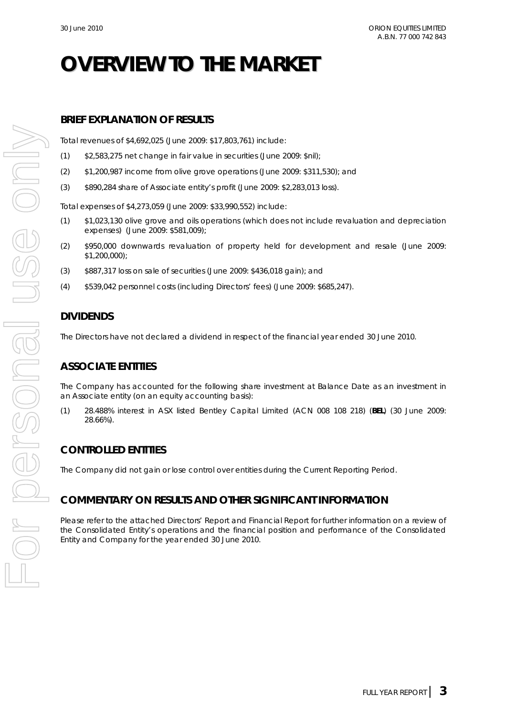# **OVERVIEW TO THE MARKET**

# **BRIEF EXPLANATION OF RESULTS**

Total revenues of \$4,692,025 (June 2009: \$17,803,761) include:

- (1) \$2,583,275 net change in fair value in securities (June 2009: \$nil);
- (2) \$1,200,987 income from olive grove operations (June 2009: \$311,530); and
- (3) \$890,284 share of Associate entity's profit (June 2009: \$2,283,013 loss).

Total expenses of \$4,273,059 (June 2009: \$33,990,552) include:

- (1) \$1,023,130 olive grove and oils operations (which does not include revaluation and depreciation expenses) (June 2009: \$581,009);
- (2) \$950,000 downwards revaluation of property held for development and resale (June 2009: \$1,200,000);
- (3) \$887,317 loss on sale of securities (June 2009: \$436,018 gain); and
- (4) \$539,042 personnel costs (including Directors' fees) (June 2009: \$685,247).

# **DIVIDENDS**

The Directors have not declared a dividend in respect of the financial year ended 30 June 2010.

# **ASSOCIATE ENTITIES**

The Company has accounted for the following share investment at Balance Date as an investment in an Associate entity (on an equity accounting basis):

(1) 28.488% interest in ASX listed Bentley Capital Limited (ACN 008 108 218) (**BEL**) (30 June 2009: 28.66%).

# **CONTROLLED ENTITIES**

The Company did not gain or lose control over entities during the Current Reporting Period.

# **COMMENTARY ON RESULTS AND OTHER SIGNIFICANT INFORMATION**

Please refer to the attached Directors' Report and Financial Report for further information on a review of the Consolidated Entity's operations and the financial position and performance of the Consolidated Entity and Company for the year ended 30 June 2010.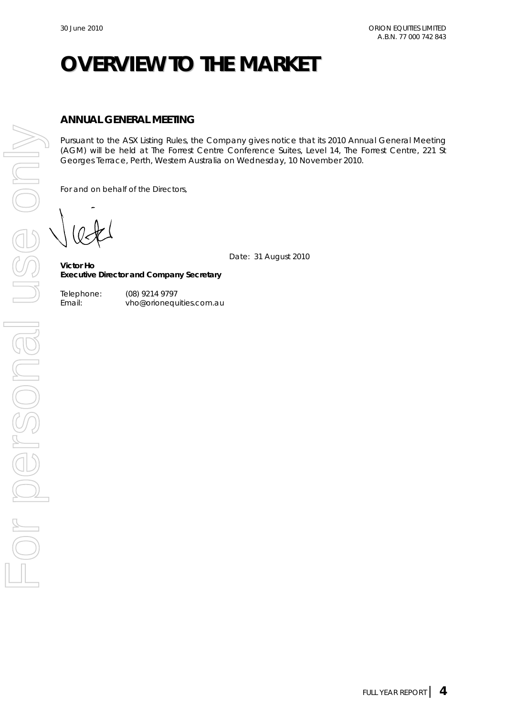# **OVERVIEW TO THE MARKET**

# **ANNUAL GENERAL MEETING**

Pursuant to the ASX Listing Rules, the Company gives notice that its 2010 Annual General Meeting (AGM) will be held at The Forrest Centre Conference Suites, Level 14, The Forrest Centre, 221 St Georges Terrace, Perth, Western Australia on Wednesday, 10 November 2010.

For and on behalf of the Directors,

Date: 31 August 2010

**Victor Ho Executive Director and Company Secretary** 

Telephone: (08) 9214 9797 Email: vho@orionequities.com.au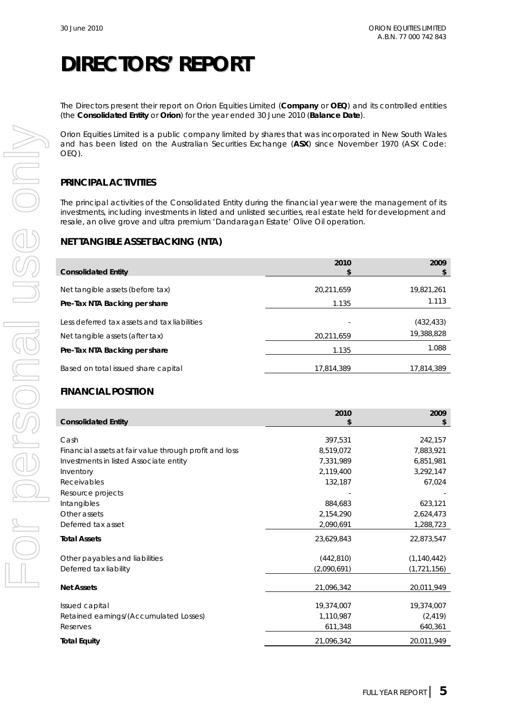The Directors present their report on Orion Equities Limited (**Company** or **OEQ**) and its controlled entities (the **Consolidated Entity** or **Orion**) for the year ended 30 June 2010 (**Balance Date**).

Orion Equities Limited is a public company limited by shares that was incorporated in New South Wales and has been listed on the Australian Securities Exchange (**ASX**) since November 1970 (ASX Code: OEQ).

# **PRINCIPAL ACTIVITIES**

The principal activities of the Consolidated Entity during the financial year were the management of its investments, including investments in listed and unlisted securities, real estate held for development and resale, an olive grove and ultra premium 'Dandaragan Estate' Olive Oil operation.

# **NET TANGIBLE ASSET BACKING (NTA)**

| <b>Consolidated Entity</b>                                                      | 2010       | 2009                     |
|---------------------------------------------------------------------------------|------------|--------------------------|
| Net tangible assets (before tax)                                                | 20,211,659 | 19,821,261               |
| Pre-Tax NTA Backing per share                                                   | 1.135      | 1.113                    |
| Less deferred tax assets and tax liabilities<br>Net tangible assets (after tax) | 20,211,659 | (432, 433)<br>19,388,828 |
| Pre-Tax NTA Backing per share                                                   | 1.135      | 1.088                    |
| Based on total issued share capital                                             | 17,814,389 | 17.814.389               |

# **FINANCIAL POSITION**

|                                                        | 2010        | 2009          |
|--------------------------------------------------------|-------------|---------------|
| <b>Consolidated Entity</b>                             | S           | \$            |
| Cash                                                   | 397,531     | 242,157       |
| Financial assets at fair value through profit and loss | 8,519,072   | 7,883,921     |
| Investments in listed Associate entity                 | 7,331,989   | 6,851,981     |
| Inventory                                              | 2,119,400   | 3,292,147     |
| Receivables                                            | 132,187     | 67,024        |
| Resource projects                                      |             |               |
| Intangibles                                            | 884,683     | 623,121       |
| Other assets                                           | 2,154,290   | 2,624,473     |
| Deferred tax asset                                     | 2,090,691   | 1,288,723     |
| <b>Total Assets</b>                                    | 23,629,843  | 22,873,547    |
| Other payables and liabilities                         | (442, 810)  | (1, 140, 442) |
| Deferred tax liability                                 | (2,090,691) | (1, 721, 156) |
| <b>Net Assets</b>                                      | 21,096,342  | 20,011,949    |
| Issued capital                                         | 19,374,007  | 19,374,007    |
| Retained earnings/(Accumulated Losses)                 | 1,110,987   | (2, 419)      |
| Reserves                                               | 611,348     | 640,361       |
| <b>Total Equity</b>                                    | 21,096,342  | 20,011,949    |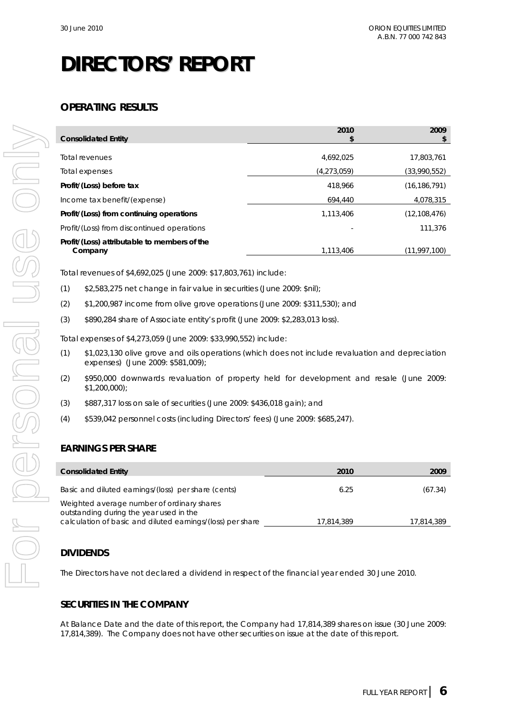# **OPERATING RESULTS**

| <b>Consolidated Entity</b>                              | 2010        | 2009           |
|---------------------------------------------------------|-------------|----------------|
| Total revenues                                          | 4.692.025   | 17,803,761     |
| Total expenses                                          | (4,273,059) | (33,990,552)   |
| Profit/(Loss) before tax                                | 418,966     | (16, 186, 791) |
| Income tax benefit/(expense)                            | 694.440     | 4,078,315      |
| Profit/(Loss) from continuing operations                | 1,113,406   | (12, 108, 476) |
| Profit/(Loss) from discontinued operations              |             | 111,376        |
| Profit/(Loss) attributable to members of the<br>Company | 1,113,406   | (11, 997, 100) |

Total revenues of \$4,692,025 (June 2009: \$17,803,761) include:

- (1) \$2,583,275 net change in fair value in securities (June 2009: \$nil);
- (2) \$1,200,987 income from olive grove operations (June 2009: \$311,530); and
- (3) \$890,284 share of Associate entity's profit (June 2009: \$2,283,013 loss).

Total expenses of \$4,273,059 (June 2009: \$33,990,552) include:

- (1) \$1,023,130 olive grove and oils operations (which does not include revaluation and depreciation expenses) (June 2009: \$581,009);
- (2) \$950,000 downwards revaluation of property held for development and resale (June 2009: \$1,200,000);
- (3) \$887,317 loss on sale of securities (June 2009: \$436,018 gain); and
- (4) \$539,042 personnel costs (including Directors' fees) (June 2009: \$685,247).

# **EARNINGS PER SHARE**

| <b>Consolidated Entity</b>                                                                                                                          | 2010       | 2009       |
|-----------------------------------------------------------------------------------------------------------------------------------------------------|------------|------------|
| Basic and diluted earnings/(loss) per share (cents)                                                                                                 | 6.25       | (67.34)    |
| Weighted average number of ordinary shares<br>outstanding during the year used in the<br>calculation of basic and diluted earnings/(loss) per share | 17,814,389 | 17.814.389 |

# **DIVIDENDS**

The Directors have not declared a dividend in respect of the financial year ended 30 June 2010.

# **SECURITIES IN THE COMPANY**

At Balance Date and the date of this report, the Company had 17,814,389 shares on issue (30 June 2009: 17,814,389). The Company does not have other securities on issue at the date of this report.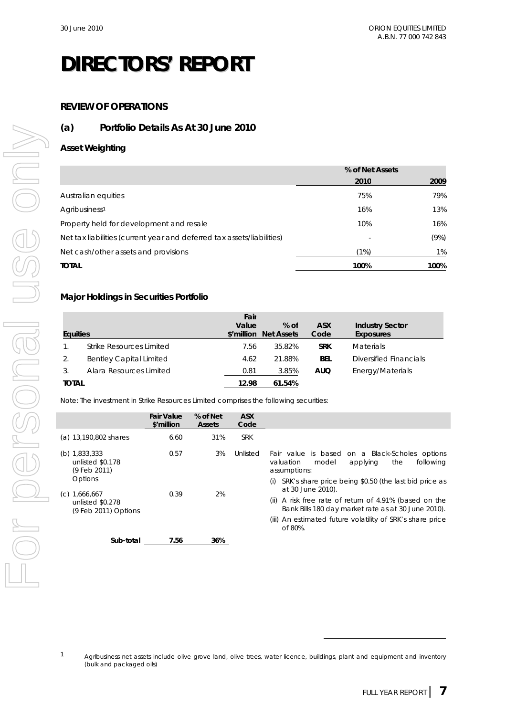# **REVIEW OF OPERATIONS**

# **(a) Portfolio Details As At 30 June 2010**

## **Asset Weighting**

|                                                                        | % of Net Assets |      |  |
|------------------------------------------------------------------------|-----------------|------|--|
|                                                                        | 2010            | 2009 |  |
| Australian equities                                                    | 75%             | 79%  |  |
| Agribusiness <sup>1</sup>                                              | 16%             | 13%  |  |
| Property held for development and resale                               | 10%             | 16%  |  |
| Net tax liabilities (current year and deferred tax assets/liabilities) |                 | (9%) |  |
| Net cash/other assets and provisions                                   | (1%)            | 1%   |  |
| <b>TOTAL</b>                                                           | 100%            | 100% |  |

## **Major Holdings in Securities Portfolio**

| <b>Equities</b> |                                | Fair<br>Value<br>\$'million | $%$ of<br><b>Net Assets</b> | <b>ASX</b><br>Code | <b>Industry Sector</b><br><b>Exposures</b> |
|-----------------|--------------------------------|-----------------------------|-----------------------------|--------------------|--------------------------------------------|
|                 | Strike Resources Limited       | 7.56                        | 35.82%                      | <b>SRK</b>         | <b>Materials</b>                           |
|                 | <b>Bentley Capital Limited</b> | 4.62                        | 21.88%                      | BEL                | Diversified Financials                     |
|                 | Alara Resources Limited        | 0.81                        | 3.85%                       | <b>AUQ</b>         | Energy/Materials                           |
| <b>TOTAL</b>    |                                | 12.98                       | 61.54%                      |                    |                                            |

Note: The investment in Strike Resources Limited comprises the following securities:

|                                                              | <b>Fair Value</b><br>\$'million | % of Net<br><b>Assets</b> | <b>ASX</b><br>Code |                                                                                                                      |
|--------------------------------------------------------------|---------------------------------|---------------------------|--------------------|----------------------------------------------------------------------------------------------------------------------|
| (a) 13,190,802 shares                                        | 6.60                            | 31%                       | <b>SRK</b>         |                                                                                                                      |
| (b) $1,833,333$<br>unlisted \$0.178<br>(9 Feb 2011)          | 0.57                            | 3%                        | Unlisted           | Fair value is based on a Black-Scholes options<br>following<br>the<br>valuation<br>model<br>applying<br>assumptions: |
| Options                                                      | 0.39                            | 2%                        |                    | SRK's share price being \$0.50 (the last bid price as<br>(i)<br>at 30 June 2010).                                    |
| 1,666,667<br>(C)<br>unlisted \$0.278<br>(9 Feb 2011) Options |                                 |                           |                    | A risk free rate of return of 4.91% (based on the<br>(ii)<br>Bank Bills 180 day market rate as at 30 June 2010).     |
|                                                              |                                 |                           |                    | (iii) An estimated future volatility of SRK's share price<br>of 80%.                                                 |
| Sub-total                                                    | 7.56                            | 36%                       |                    |                                                                                                                      |

 $\overline{a}$ 

<sup>1</sup> Agribusiness net assets include olive grove land, olive trees, water licence, buildings, plant and equipment and inventory (bulk and packaged oils)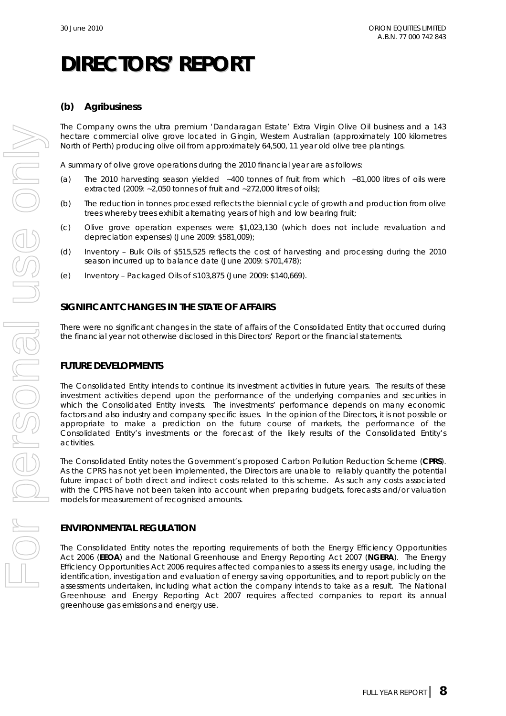# **(b) Agribusiness**

The Company owns the ultra premium 'Dandaragan Estate' Extra Virgin Olive Oil business and a 143 hectare commercial olive grove located in Gingin, Western Australian (approximately 100 kilometres North of Perth) producing olive oil from approximately 64,500, 11 year old olive tree plantings.

A summary of olive grove operations during the 2010 financial year are as follows:

- (a) The 2010 harvesting season yielded ~400 tonnes of fruit from which ~81,000 litres of oils were extracted (2009: ~2,050 tonnes of fruit and ~272,000 litres of oils);
- (b) The reduction in tonnes processed reflects the biennial cycle of growth and production from olive trees whereby trees exhibit alternating years of high and low bearing fruit;
- (c) Olive grove operation expenses were \$1,023,130 (which does not include revaluation and depreciation expenses) (June 2009: \$581,009);
- (d) Inventory Bulk Oils of \$515,525 reflects the cost of harvesting and processing during the 2010 season incurred up to balance date (June 2009: \$701,478);
- (e) Inventory Packaged Oils of \$103,875 (June 2009: \$140,669).

# **SIGNIFICANT CHANGES IN THE STATE OF AFFAIRS**

There were no significant changes in the state of affairs of the Consolidated Entity that occurred during the financial year not otherwise disclosed in this Directors' Report or the financial statements.

# **FUTURE DEVELOPMENTS**

The Consolidated Entity intends to continue its investment activities in future years. The results of these investment activities depend upon the performance of the underlying companies and securities in which the Consolidated Entity invests. The investments' performance depends on many economic factors and also industry and company specific issues. In the opinion of the Directors, it is not possible or appropriate to make a prediction on the future course of markets, the performance of the Consolidated Entity's investments or the forecast of the likely results of the Consolidated Entity's activities.

The Consolidated Entity notes the Government's proposed Carbon Pollution Reduction Scheme (**CPRS**). As the CPRS has not yet been implemented, the Directors are unable to reliably quantify the potential future impact of both direct and indirect costs related to this scheme. As such any costs associated with the CPRS have not been taken into account when preparing budgets, forecasts and/or valuation models for measurement of recognised amounts.

# **ENVIRONMENTAL REGULATION**

The Consolidated Entity notes the reporting requirements of both the *Energy Efficiency Opportunities Act 2006* (**EEOA**) and the *National Greenhouse and Energy Reporting Act 2007* (**NGERA**).The *Energy Efficiency Opportunities Act 2006* requires affected companies to assess its energy usage, including the identification, investigation and evaluation of energy saving opportunities, and to report publicly on the assessments undertaken, including what action the company intends to take as a result. The *National Greenhouse and Energy Reporting Act 2007* requires affected companies to report its annual greenhouse gas emissions and energy use.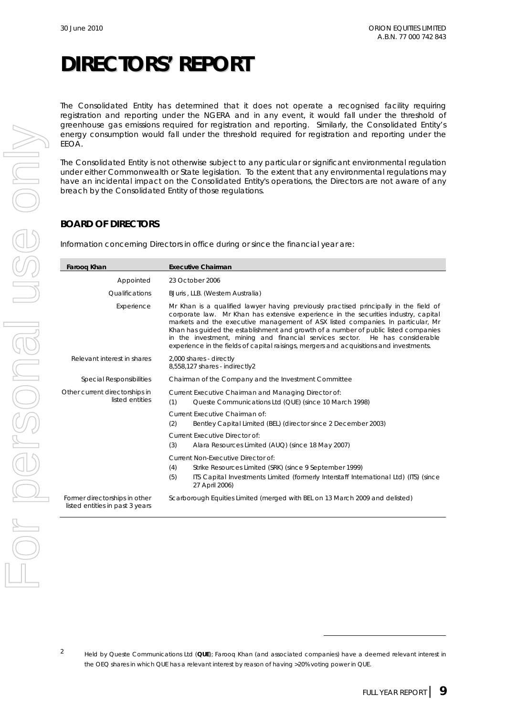The Consolidated Entity has determined that it does not operate a recognised facility requiring registration and reporting under the NGERA and in any event, it would fall under the threshold of greenhouse gas emissions required for registration and reporting. Similarly, the Consolidated Entity's energy consumption would fall under the threshold required for registration and reporting under the EEOA.

The Consolidated Entity is not otherwise subject to any particular or significant environmental regulation under either Commonwealth or State legislation. To the extent that any environmental regulations may have an incidental impact on the Consolidated Entity's operations, the Directors are not aware of any breach by the Consolidated Entity of those regulations.

# **BOARD OF DIRECTORS**

Information concerning Directors in office during or since the financial year are:

| Faroog Khan                                                      | <b>Executive Chairman</b>                                                                                                                                                                                                                                                                                                                                                                                                                                                                                                         |  |  |  |  |
|------------------------------------------------------------------|-----------------------------------------------------------------------------------------------------------------------------------------------------------------------------------------------------------------------------------------------------------------------------------------------------------------------------------------------------------------------------------------------------------------------------------------------------------------------------------------------------------------------------------|--|--|--|--|
| Appointed                                                        | 23 October 2006                                                                                                                                                                                                                                                                                                                                                                                                                                                                                                                   |  |  |  |  |
| Qualifications                                                   | BJuris, LLB. (Western Australia)                                                                                                                                                                                                                                                                                                                                                                                                                                                                                                  |  |  |  |  |
| Experience                                                       | Mr Khan is a qualified lawyer having previously practised principally in the field of<br>corporate law. Mr Khan has extensive experience in the securities industry, capital<br>markets and the executive management of ASX listed companies. In particular, Mr<br>Khan has guided the establishment and growth of a number of public listed companies<br>in the investment, mining and financial services sector. He has considerable<br>experience in the fields of capital raisings, mergers and acquisitions and investments. |  |  |  |  |
| Relevant interest in shares                                      | 2,000 shares - directly<br>8,558,127 shares - indirectly2                                                                                                                                                                                                                                                                                                                                                                                                                                                                         |  |  |  |  |
| <b>Special Responsibilities</b>                                  | Chairman of the Company and the Investment Committee                                                                                                                                                                                                                                                                                                                                                                                                                                                                              |  |  |  |  |
| Other current directorships in<br>listed entities                | Current Executive Chairman and Managing Director of:<br>Queste Communications Ltd (QUE) (since 10 March 1998)<br>(1)                                                                                                                                                                                                                                                                                                                                                                                                              |  |  |  |  |
|                                                                  | Current Executive Chairman of:<br>(2)<br>Bentley Capital Limited (BEL) (director since 2 December 2003)                                                                                                                                                                                                                                                                                                                                                                                                                           |  |  |  |  |
|                                                                  | Current Executive Director of:<br>(3)<br>Alara Resources Limited (AUQ) (since 18 May 2007)                                                                                                                                                                                                                                                                                                                                                                                                                                        |  |  |  |  |
|                                                                  | Current Non-Executive Director of:<br>(4)<br>Strike Resources Limited (SRK) (since 9 September 1999)<br>(5)<br>ITS Capital Investments Limited (formerly Interstaff International Ltd) (ITS) (since<br>27 April 2006)                                                                                                                                                                                                                                                                                                             |  |  |  |  |
| Former directorships in other<br>listed entities in past 3 years | Scarborough Equities Limited (merged with BEL on 13 March 2009 and delisted)                                                                                                                                                                                                                                                                                                                                                                                                                                                      |  |  |  |  |

 $\overline{a}$ 

<sup>2</sup> Held by Queste Communications Ltd (**QUE**); Farooq Khan (and associated companies) have a deemed relevant interest in the OEQ shares in which QUE has a relevant interest by reason of having >20% voting power in QUE.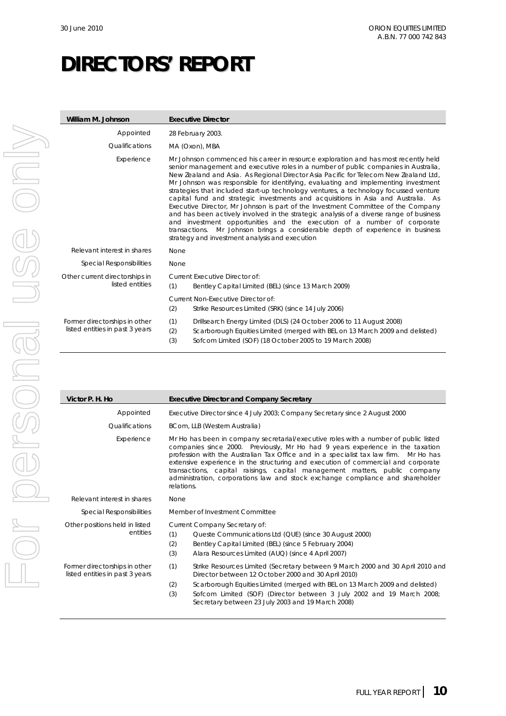| William M. Johnson                                               | <b>Executive Director</b>                                                                                                                                                                                                                                                                                                                                                                                                                                                                                                                                                                                                                                                                                                                                                                                                                                                                                                           |  |  |  |
|------------------------------------------------------------------|-------------------------------------------------------------------------------------------------------------------------------------------------------------------------------------------------------------------------------------------------------------------------------------------------------------------------------------------------------------------------------------------------------------------------------------------------------------------------------------------------------------------------------------------------------------------------------------------------------------------------------------------------------------------------------------------------------------------------------------------------------------------------------------------------------------------------------------------------------------------------------------------------------------------------------------|--|--|--|
| Appointed                                                        | 28 February 2003.                                                                                                                                                                                                                                                                                                                                                                                                                                                                                                                                                                                                                                                                                                                                                                                                                                                                                                                   |  |  |  |
| Qualifications                                                   | MA (Oxon), MBA                                                                                                                                                                                                                                                                                                                                                                                                                                                                                                                                                                                                                                                                                                                                                                                                                                                                                                                      |  |  |  |
| Experience                                                       | Mr Johnson commenced his career in resource exploration and has most recently held<br>senior management and executive roles in a number of public companies in Australia,<br>New Zealand and Asia. As Regional Director Asia Pacific for Telecom New Zealand Ltd,<br>Mr Johnson was responsible for identifying, evaluating and implementing investment<br>strategies that included start-up technology ventures, a technology focussed venture<br>capital fund and strategic investments and acquisitions in Asia and Australia. As<br>Executive Director, Mr Johnson is part of the Investment Committee of the Company<br>and has been actively involved in the strategic analysis of a diverse range of business<br>and investment opportunities and the execution of a number of corporate<br>transactions. Mr Johnson brings a considerable depth of experience in business<br>strategy and investment analysis and execution |  |  |  |
| Relevant interest in shares                                      | <b>None</b>                                                                                                                                                                                                                                                                                                                                                                                                                                                                                                                                                                                                                                                                                                                                                                                                                                                                                                                         |  |  |  |
| Special Responsibilities                                         | None                                                                                                                                                                                                                                                                                                                                                                                                                                                                                                                                                                                                                                                                                                                                                                                                                                                                                                                                |  |  |  |
| Other current directorships in<br>listed entities                | Current Executive Director of:<br>(1)<br>Bentley Capital Limited (BEL) (since 13 March 2009)                                                                                                                                                                                                                                                                                                                                                                                                                                                                                                                                                                                                                                                                                                                                                                                                                                        |  |  |  |
|                                                                  | Current Non-Executive Director of:<br>(2)<br>Strike Resources Limited (SRK) (since 14 July 2006)                                                                                                                                                                                                                                                                                                                                                                                                                                                                                                                                                                                                                                                                                                                                                                                                                                    |  |  |  |
| Former directorships in other<br>listed entities in past 3 years | (1)<br>Drillsearch Energy Limited (DLS) (24 October 2006 to 11 August 2008)<br>(2)<br>Scarborough Equities Limited (merged with BEL on 13 March 2009 and delisted)<br>(3)<br>Sofcom Limited (SOF) (18 October 2005 to 19 March 2008)                                                                                                                                                                                                                                                                                                                                                                                                                                                                                                                                                                                                                                                                                                |  |  |  |

| Victor P. H. Ho                                                  | <b>Executive Director and Company Secretary</b>                                                                                                                                                                                                                                                                                                                                                                                                                                                                                    |  |  |  |  |
|------------------------------------------------------------------|------------------------------------------------------------------------------------------------------------------------------------------------------------------------------------------------------------------------------------------------------------------------------------------------------------------------------------------------------------------------------------------------------------------------------------------------------------------------------------------------------------------------------------|--|--|--|--|
| Appointed                                                        | Executive Director since 4 July 2003; Company Secretary since 2 August 2000                                                                                                                                                                                                                                                                                                                                                                                                                                                        |  |  |  |  |
| Qualifications                                                   | BCom, LLB (Western Australia)                                                                                                                                                                                                                                                                                                                                                                                                                                                                                                      |  |  |  |  |
| Experience                                                       | Mr Ho has been in company secretarial/executive roles with a number of public listed<br>companies since 2000. Previously, Mr Ho had 9 years experience in the taxation<br>profession with the Australian Tax Office and in a specialist tax law firm. Mr Ho has<br>extensive experience in the structuring and execution of commercial and corporate<br>transactions, capital raisings, capital management matters, public company<br>administration, corporations law and stock exchange compliance and shareholder<br>relations. |  |  |  |  |
| Relevant interest in shares                                      | None                                                                                                                                                                                                                                                                                                                                                                                                                                                                                                                               |  |  |  |  |
| Special Responsibilities                                         | Member of Investment Committee                                                                                                                                                                                                                                                                                                                                                                                                                                                                                                     |  |  |  |  |
| Other positions held in listed<br>entities                       | Current Company Secretary of:<br>(1)<br>Queste Communications Ltd (QUE) (since 30 August 2000)<br>(2)<br>Bentley Capital Limited (BEL) (since 5 February 2004)<br>(3)<br>Alara Resources Limited (AUQ) (since 4 April 2007)                                                                                                                                                                                                                                                                                                        |  |  |  |  |
| Former directorships in other<br>listed entities in past 3 years | (1)<br>Strike Resources Limited (Secretary between 9 March 2000 and 30 April 2010 and<br>Director between 12 October 2000 and 30 April 2010)<br>(2)<br>Scarborough Equities Limited (merged with BEL on 13 March 2009 and delisted)<br>(3)<br>Sofcom Limited (SOF) (Director between 3 July 2002 and 19 March 2008;<br>Secretary between 23 July 2003 and 19 March 2008)                                                                                                                                                           |  |  |  |  |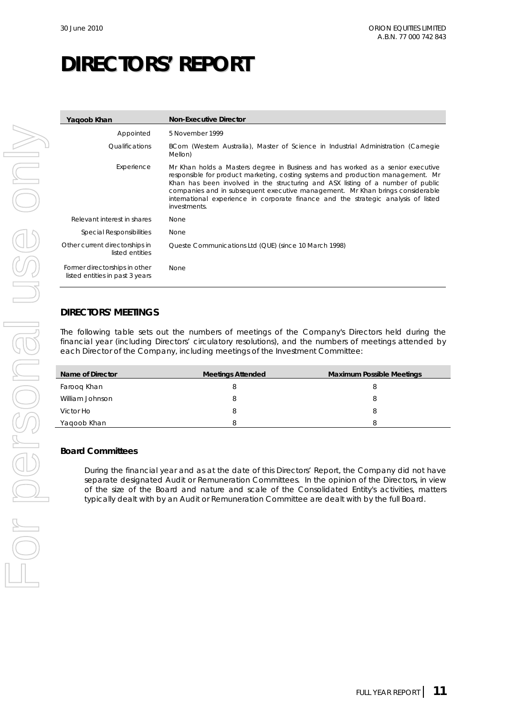| Yagoob Khan                                                      | <b>Non-Executive Director</b>                                                                                                                                                                                                                                                                                                                                                                                                                 |
|------------------------------------------------------------------|-----------------------------------------------------------------------------------------------------------------------------------------------------------------------------------------------------------------------------------------------------------------------------------------------------------------------------------------------------------------------------------------------------------------------------------------------|
| Appointed                                                        | 5 November 1999                                                                                                                                                                                                                                                                                                                                                                                                                               |
| <i><u><b>Oualifications</b></u></i>                              | BCom (Western Australia), Master of Science in Industrial Administration (Carnegie<br>Mellon)                                                                                                                                                                                                                                                                                                                                                 |
| Experience                                                       | Mr Khan holds a Masters degree in Business and has worked as a senior executive<br>responsible for product marketing, costing systems and production management. Mr<br>Khan has been involved in the structuring and ASX listing of a number of public<br>companies and in subsequent executive management. Mr Khan brings considerable<br>international experience in corporate finance and the strategic analysis of listed<br>investments. |
| Relevant interest in shares                                      | None                                                                                                                                                                                                                                                                                                                                                                                                                                          |
| Special Responsibilities                                         | None                                                                                                                                                                                                                                                                                                                                                                                                                                          |
| Other current directorships in<br>listed entities                | Queste Communications Ltd (QUE) (since 10 March 1998)                                                                                                                                                                                                                                                                                                                                                                                         |
| Former directorships in other<br>listed entities in past 3 years | None                                                                                                                                                                                                                                                                                                                                                                                                                                          |

# **DIRECTORS' MEETINGS**

The following table sets out the numbers of meetings of the Company's Directors held during the financial year (including Directors' circulatory resolutions), and the numbers of meetings attended by each Director of the Company, including meetings of the Investment Committee:

| Name of Director | <b>Meetings Attended</b> | <b>Maximum Possible Meetings</b> |
|------------------|--------------------------|----------------------------------|
| Faroog Khan      | 8                        |                                  |
| William Johnson  | 8                        |                                  |
| Victor Ho        | 8                        |                                  |
| Yagoob Khan      | R                        |                                  |

# **Board Committees**

During the financial year and as at the date of this Directors' Report, the Company did not have separate designated Audit or Remuneration Committees. In the opinion of the Directors, in view of the size of the Board and nature and scale of the Consolidated Entity's activities, matters typically dealt with by an Audit or Remuneration Committee are dealt with by the full Board.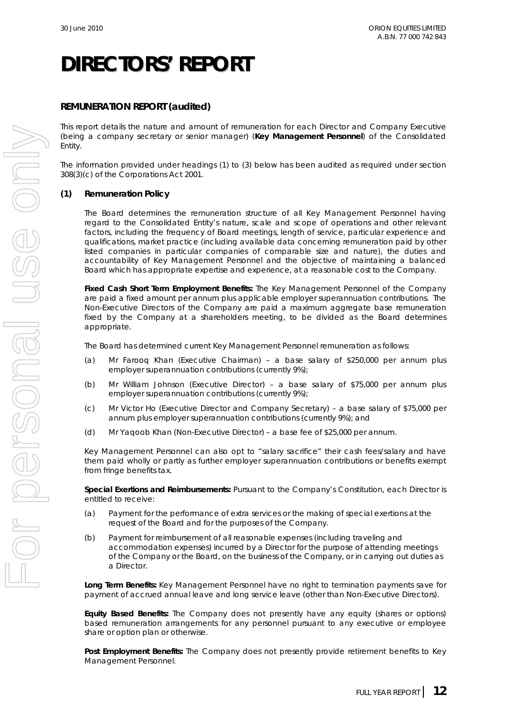# **REMUNERATION REPORT (audited)**

This report details the nature and amount of remuneration for each Director and Company Executive (being a company secretary or senior manager) (**Key Management Personnel**) of the Consolidated Entity.

The information provided under headings (1) to (3) below has been audited as required under section 308(3)(c) of the *Corporations Act 2001*.

# **(1) Remuneration Policy**

The Board determines the remuneration structure of all Key Management Personnel having regard to the Consolidated Entity's nature, scale and scope of operations and other relevant factors, including the frequency of Board meetings, length of service, particular experience and qualifications, market practice (including available data concerning remuneration paid by other listed companies in particular companies of comparable size and nature), the duties and accountability of Key Management Personnel and the objective of maintaining a balanced Board which has appropriate expertise and experience, at a reasonable cost to the Company.

**Fixed Cash Short Term Employment Benefits:** The Key Management Personnel of the Company are paid a fixed amount per annum plus applicable employer superannuation contributions. The Non-Executive Directors of the Company are paid a maximum aggregate base remuneration fixed by the Company at a shareholders meeting, to be divided as the Board determines appropriate.

The Board has determined current Key Management Personnel remuneration as follows:

- (a) Mr Farooq Khan (Executive Chairman) a base salary of \$250,000 per annum plus employer superannuation contributions (currently 9%);
- (b) Mr William Johnson (Executive Director) a base salary of \$75,000 per annum plus employer superannuation contributions (currently 9%);
- (c) Mr Victor Ho (Executive Director and Company Secretary) a base salary of \$75,000 per annum plus employer superannuation contributions (currently 9%); and
- (d) Mr Yaqoob Khan (Non-Executive Director) a base fee of \$25,000 per annum.

Key Management Personnel can also opt to "salary sacrifice" their cash fees/salary and have them paid wholly or partly as further employer superannuation contributions or benefits exempt from fringe benefits tax.

**Special Exertions and Reimbursements:** Pursuant to the Company's Constitution, each Director is entitled to receive:

- (a) Payment for the performance of extra services or the making of special exertions at the request of the Board and for the purposes of the Company.
- (b) Payment for reimbursement of all reasonable expenses (including traveling and accommodation expenses) incurred by a Director for the purpose of attending meetings of the Company or the Board, on the business of the Company, or in carrying out duties as a Director.

**Long Term Benefits:** Key Management Personnel have no right to termination payments save for payment of accrued annual leave and long service leave (other than Non-Executive Directors).

**Equity Based Benefits:** The Company does not presently have any equity (shares or options) based remuneration arrangements for any personnel pursuant to any executive or employee share or option plan or otherwise.

**Post Employment Benefits:** The Company does not presently provide retirement benefits to Key Management Personnel.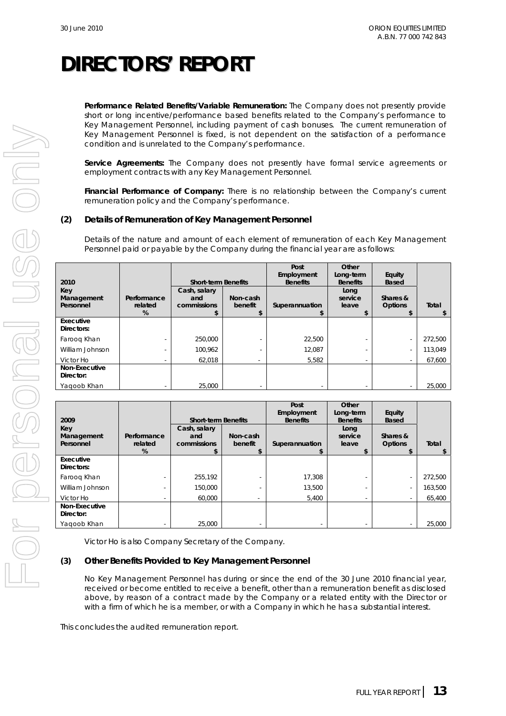**Performance Related Benefits/Variable Remuneration:** The Company does not presently provide short or long incentive/performance based benefits related to the Company's performance to Key Management Personnel, including payment of cash bonuses. The current remuneration of Key Management Personnel is fixed, is not dependent on the satisfaction of a performance condition and is unrelated to the Company's performance.

Service Agreements: The Company does not presently have formal service agreements or employment contracts with any Key Management Personnel.

**Financial Performance of Company:** There is no relationship between the Company's current remuneration policy and the Company's performance.

# **(2) Details of Remuneration of Key Management Personnel**

Details of the nature and amount of each element of remuneration of each Key Management Personnel paid or payable by the Company during the financial year are as follows:

| 2010                           |                             | <b>Short-term Benefits</b>         |                           | Post<br>Employment<br><b>Benefits</b> | Other<br>Long-term<br><b>Benefits</b> | Equity<br><b>Based</b>     |         |
|--------------------------------|-----------------------------|------------------------------------|---------------------------|---------------------------------------|---------------------------------------|----------------------------|---------|
| Key<br>Management<br>Personnel | Performance<br>related<br>% | Cash, salary<br>and<br>commissions | Non-cash<br>benefit<br>\$ | Superannuation                        | Long<br>service<br>leave<br>ъ         | Shares &<br><b>Options</b> | Total   |
| Executive<br>Directors:        |                             |                                    |                           |                                       |                                       |                            |         |
| Faroog Khan                    |                             | 250,000                            |                           | 22.500                                |                                       |                            | 272,500 |
| William Johnson                |                             | 100,962                            |                           | 12.087                                |                                       |                            | 113,049 |
| Victor Ho                      | ٠                           | 62,018                             | ٠                         | 5,582                                 |                                       |                            | 67,600  |
| Non-Executive<br>Director:     |                             |                                    |                           |                                       |                                       |                            |         |
| Yagoob Khan                    | ۰                           | 25,000                             |                           | $\sim$                                |                                       |                            | 25,000  |

|                            |             |                            |          | Post<br>Employment | Other<br>Long-term | Equity         |         |
|----------------------------|-------------|----------------------------|----------|--------------------|--------------------|----------------|---------|
| 2009                       |             | <b>Short-term Benefits</b> |          | <b>Benefits</b>    | <b>Benefits</b>    | <b>Based</b>   |         |
| Key                        |             | Cash, salary               |          |                    | Long               |                |         |
| Management                 | Performance | and                        | Non-cash |                    | service            | Shares &       |         |
| Personnel                  | related     | commissions                | benefit  | Superannuation     | leave              | <b>Options</b> | Total   |
|                            | %           |                            |          |                    |                    |                |         |
| Executive<br>Directors:    |             |                            |          |                    |                    |                |         |
| Faroog Khan                |             | 255,192                    |          | 17,308             |                    |                | 272,500 |
| William Johnson            |             | 150,000                    | ٠        | 13,500             |                    |                | 163,500 |
| Victor Ho                  | ۰           | 60.000                     | $\sim$   | 5,400              | ۰                  |                | 65,400  |
| Non-Executive<br>Director: |             |                            |          |                    |                    |                |         |
| Yagoob Khan                | ٠           | 25,000                     |          |                    |                    |                | 25,000  |

Victor Ho is also Company Secretary of the Company.

# **(3) Other Benefits Provided to Key Management Personnel**

No Key Management Personnel has during or since the end of the 30 June 2010 financial year, received or become entitled to receive a benefit, other than a remuneration benefit as disclosed above, by reason of a contract made by the Company or a related entity with the Director or with a firm of which he is a member, or with a Company in which he has a substantial interest.

This concludes the audited remuneration report.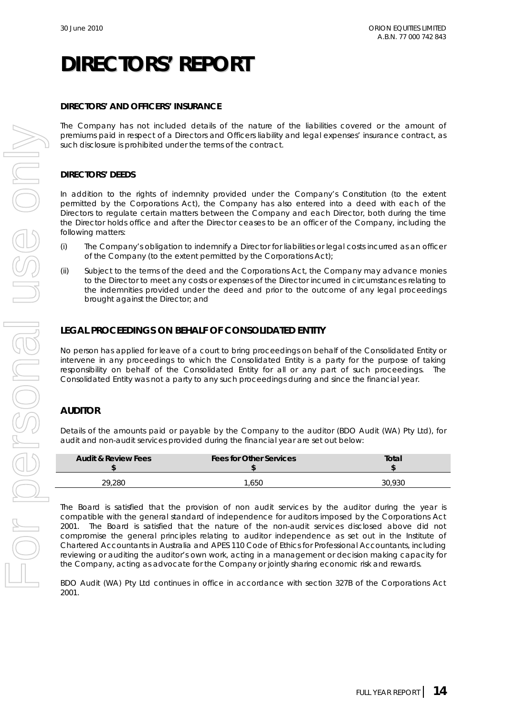## **DIRECTORS' AND OFFICERS' INSURANCE**

The Company has not included details of the nature of the liabilities covered or the amount of premiums paid in respect of a Directors and Officers liability and legal expenses' insurance contract, as such disclosure is prohibited under the terms of the contract.

## **DIRECTORS' DEEDS**

In addition to the rights of indemnity provided under the Company's Constitution (to the extent permitted by the Corporations Act), the Company has also entered into a deed with each of the Directors to regulate certain matters between the Company and each Director, both during the time the Director holds office and after the Director ceases to be an officer of the Company, including the following matters:

- (i) The Company's obligation to indemnify a Director for liabilities or legal costs incurred as an officer of the Company (to the extent permitted by the Corporations Act);
- (ii) Subject to the terms of the deed and the Corporations Act, the Company may advance monies to the Director to meet any costs or expenses of the Director incurred in circumstances relating to the indemnities provided under the deed and prior to the outcome of any legal proceedings brought against the Director; and

# **LEGAL PROCEEDINGS ON BEHALF OF CONSOLIDATED ENTITY**

No person has applied for leave of a court to bring proceedings on behalf of the Consolidated Entity or intervene in any proceedings to which the Consolidated Entity is a party for the purpose of taking responsibility on behalf of the Consolidated Entity for all or any part of such proceedings. The Consolidated Entity was not a party to any such proceedings during and since the financial year.

# **AUDITOR**

Details of the amounts paid or payable by the Company to the auditor (BDO Audit (WA) Pty Ltd), for audit and non-audit services provided during the financial year are set out below:

| <b>Audit &amp; Review Fees</b> | <b>Fees for Other Services</b> | Total  |
|--------------------------------|--------------------------------|--------|
| 29,280                         | .650                           | 30,930 |

The Board is satisfied that the provision of non audit services by the auditor during the year is compatible with the general standard of independence for auditors imposed by the *Corporations Act 2001.* The Board is satisfied that the nature of the non-audit services disclosed above did not compromise the general principles relating to auditor independence as set out in the Institute of Chartered Accountants in Australia and APES 110 Code of Ethics for Professional Accountants, including reviewing or auditing the auditor's own work, acting in a management or decision making capacity for the Company, acting as advocate for the Company or jointly sharing economic risk and rewards.

BDO Audit (WA) Pty Ltd continues in office in accordance with section 327B of the *Corporations Act 2001*.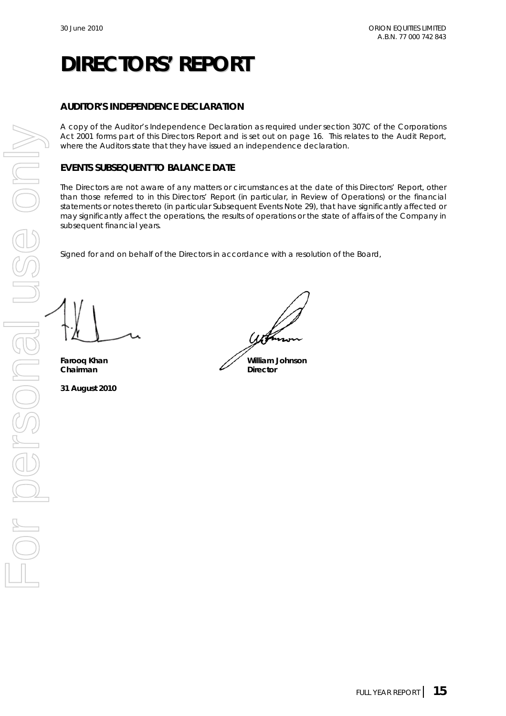# **AUDITOR'S INDEPENDENCE DECLARATION**

A copy of the Auditor's Independence Declaration as required under section 307C of the *Corporations Act 2001* forms part of this Directors Report and is set out on page 16. This relates to the Audit Report, where the Auditors state that they have issued an independence declaration.

# **EVENTS SUBSEQUENT TO BALANCE DATE**

The Directors are not aware of any matters or circumstances at the date of this Directors' Report, other than those referred to in this Directors' Report (in particular, in Review of Operations) or the financial statements or notes thereto (in particular Subsequent Events Note 29), that have significantly affected or may significantly affect the operations, the results of operations or the state of affairs of the Company in subsequent financial years.

Signed for and on behalf of the Directors in accordance with a resolution of the Board,

Chairman Director

**31 August 2010** 

**Farooq Khan William Johnson**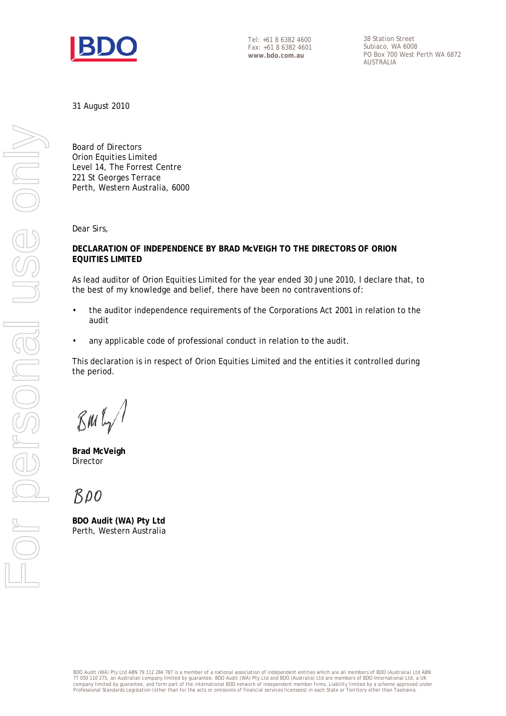

Tel: +61 8 6382 4600 Fax: +61 8 6382 4601 **www.bdo.com.au** 

38 Station Street Subiaco, WA 6008 PO Box 700 West Perth WA 6872 AUSTRALIA

31 August 2010

Board of Directors Orion Equities Limited Level 14, The Forrest Centre 221 St Georges Terrace Perth, Western Australia, 6000

Dear Sirs,

# **DECLARATION OF INDEPENDENCE BY BRAD McVEIGH TO THE DIRECTORS OF ORION EQUITIES LIMITED**

As lead auditor of Orion Equities Limited for the year ended 30 June 2010, I declare that, to the best of my knowledge and belief, there have been no contraventions of:

- the auditor independence requirements of the Corporations Act 2001 in relation to the audit
- any applicable code of professional conduct in relation to the audit.

This declaration is in respect of Orion Equities Limited and the entities it controlled during the period.

 $\mathcal{B}$ m $\mathcal{L}$ 

**Brad McVeigh**  Director

Bpo

**BDO Audit (WA) Pty Ltd**  Perth, Western Australia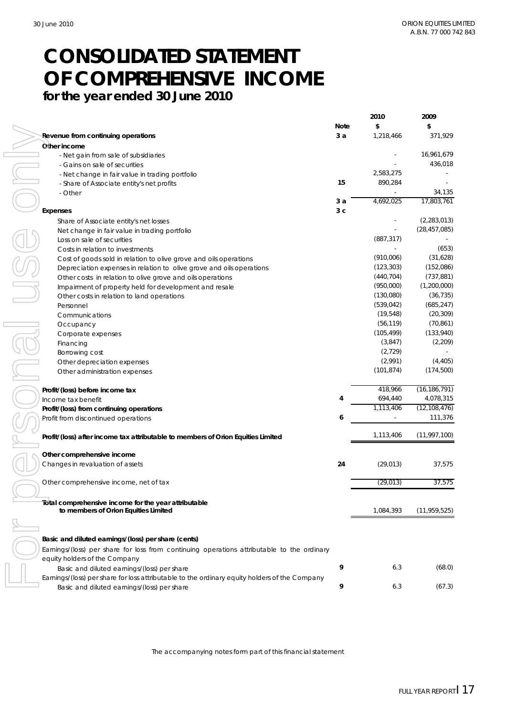# **CONSOLIDATED STATEMENT OF COMPREHENSIVE INCOME for the year ended 30 June 2010**

|                                                                                               | <b>Note</b>    | 2010<br>\$ | 2009<br>\$     |
|-----------------------------------------------------------------------------------------------|----------------|------------|----------------|
| Revenue from continuing operations                                                            | 3а             | 1,218,466  | 371,929        |
| Other income                                                                                  |                |            |                |
| - Net gain from sale of subsidiaries                                                          |                |            | 16,961,679     |
| - Gains on sale of securities                                                                 |                |            | 436,018        |
| - Net change in fair value in trading portfolio                                               |                | 2,583,275  |                |
| - Share of Associate entity's net profits                                                     | 15             | 890,284    |                |
| - Other                                                                                       |                |            | 34,135         |
|                                                                                               | 3а             | 4,692,025  | 17,803,761     |
| Expenses                                                                                      | 3 <sub>c</sub> |            |                |
| Share of Associate entity's net losses                                                        |                |            | (2, 283, 013)  |
| Net change in fair value in trading portfolio                                                 |                |            | (28, 457, 085) |
| Loss on sale of securities                                                                    |                | (887, 317) |                |
| Costs in relation to investments                                                              |                |            | (653)          |
| Cost of goods sold in relation to olive grove and oils operations                             |                | (910,006)  | (31,628)       |
| Depreciation expenses in relation to olive grove and oils operations                          |                | (123, 303) | (152,086)      |
| Other costs in relation to olive grove and oils operations                                    |                | (440, 704) | (737, 881)     |
| Impairment of property held for development and resale                                        |                | (950,000)  | (1,200,000)    |
| Other costs in relation to land operations                                                    |                | (130,080)  | (36, 735)      |
| Personnel                                                                                     |                | (539, 042) | (685, 247)     |
| Communications                                                                                |                | (19, 548)  | (20, 309)      |
| Occupancy                                                                                     |                | (56, 119)  | (70, 861)      |
| Corporate expenses                                                                            |                | (105, 499) | (133,940)      |
| Financing                                                                                     |                | (3,847)    | (2,209)        |
| Borrowing cost                                                                                |                | (2, 729)   |                |
| Other depreciation expenses                                                                   |                | (2,991)    | (4, 405)       |
| Other administration expenses                                                                 |                | (101, 874) | (174, 500)     |
|                                                                                               |                |            |                |
| Profit/(loss) before income tax                                                               |                | 418,966    | (16, 186, 791) |
| Income tax benefit                                                                            | 4              | 694,440    | 4,078,315      |
| Profit/(loss) from continuing operations                                                      |                | 1,113,406  | (12, 108, 476) |
| Profit from discontinued operations                                                           | 6              |            | 111,376        |
|                                                                                               |                |            |                |
| Profit/(loss) after income tax attributable to members of Orion Equities Limited              |                | 1,113,406  | (11, 997, 100) |
|                                                                                               |                |            |                |
| Other comprehensive income                                                                    |                |            |                |
| Changes in revaluation of assets                                                              | 24             | (29, 013)  | 37,575         |
|                                                                                               |                |            |                |
| Other comprehensive income, net of tax                                                        |                | (29, 013)  | 37,575         |
|                                                                                               |                |            |                |
| Total comprehensive income for the year attributable                                          |                |            |                |
| to members of Orion Equities Limited                                                          |                | 1,084,393  | (11, 959, 525) |
|                                                                                               |                |            |                |
|                                                                                               |                |            |                |
| Basic and diluted earnings/(loss) per share (cents)                                           |                |            |                |
| Earnings/(loss) per share for loss from continuing operations attributable to the ordinary    |                |            |                |
| equity holders of the Company                                                                 |                |            |                |
| Basic and diluted earnings/(loss) per share                                                   | 9              | 6.3        | (68.0)         |
| Earnings/(loss) per share for loss attributable to the ordinary equity holders of the Company |                |            |                |
| Basic and diluted earnings/(loss) per share                                                   | 9              | 6.3        | (67.3)         |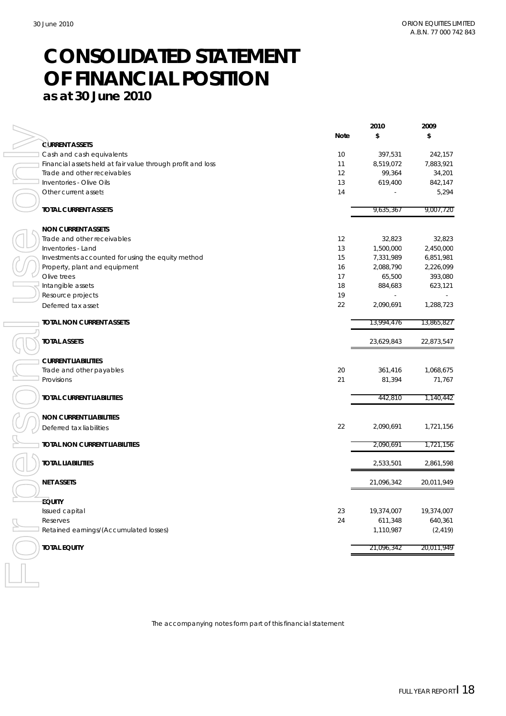# **CONSOLIDATED STATEMENT OF FINANCIAL POSITION as at 30 June 2010**

|                                                             |             | 2010       | 2009       |
|-------------------------------------------------------------|-------------|------------|------------|
|                                                             | <b>Note</b> | \$         | \$         |
| <b>CURRENT ASSETS</b>                                       |             |            |            |
| Cash and cash equivalents                                   | 10          | 397,531    | 242,157    |
| Financial assets held at fair value through profit and loss | 11          | 8,519,072  | 7,883,921  |
| Trade and other receivables                                 | 12          | 99,364     | 34,201     |
| Inventories - Olive Oils                                    | 13          | 619,400    | 842,147    |
| Other current assets                                        | 14          |            | 5,294      |
|                                                             |             |            |            |
| <b>TOTAL CURRENT ASSETS</b>                                 |             | 9,635,367  | 9,007,720  |
|                                                             |             |            |            |
| <b>NON CURRENT ASSETS</b>                                   |             |            |            |
| Trade and other receivables                                 | 12          | 32,823     | 32,823     |
| Inventories - Land                                          | 13          | 1,500,000  | 2,450,000  |
| Investments accounted for using the equity method           | 15          | 7,331,989  | 6,851,981  |
| Property, plant and equipment                               | 16          | 2,088,790  | 2,226,099  |
| Olive trees                                                 | 17          | 65,500     | 393,080    |
| Intangible assets                                           | 18          | 884,683    | 623,121    |
| Resource projects                                           | 19          |            |            |
| Deferred tax asset                                          | 22          | 2,090,691  | 1,288,723  |
| TOTAL NON CURRENT ASSETS                                    |             | 13,994,476 | 13,865,827 |
| <b>TOTAL ASSETS</b>                                         |             | 23,629,843 | 22,873,547 |
| <b>CURRENT LIABILITIES</b>                                  |             |            |            |
| Trade and other payables                                    | 20          | 361,416    | 1,068,675  |
| Provisions                                                  | 21          | 81,394     | 71,767     |
|                                                             |             |            |            |
| <b>TOTAL CURRENT LIABILITIES</b>                            |             | 442,810    | 1,140,442  |
| <b>NON CURRENT LIABILITIES</b>                              |             |            |            |
| Deferred tax liabilities                                    | 22          | 2,090,691  | 1,721,156  |
| <b>TOTAL NON CURRENT LIABILITIES</b>                        |             | 2,090,691  | 1,721,156  |
| <b>TOTAL LIABILITIES</b>                                    |             | 2,533,501  | 2,861,598  |
|                                                             |             |            |            |
| <b>NET ASSETS</b>                                           |             | 21,096,342 | 20,011,949 |
| equity                                                      |             |            |            |
| Issued capital                                              | 23          | 19,374,007 | 19,374,007 |
| Reserves                                                    | 24          | 611,348    | 640,361    |
| Retained earnings/(Accumulated losses)                      |             | 1,110,987  | (2, 419)   |
| <b>TOTAL EQUITY</b>                                         |             | 21,096,342 | 20,011,949 |
|                                                             |             |            |            |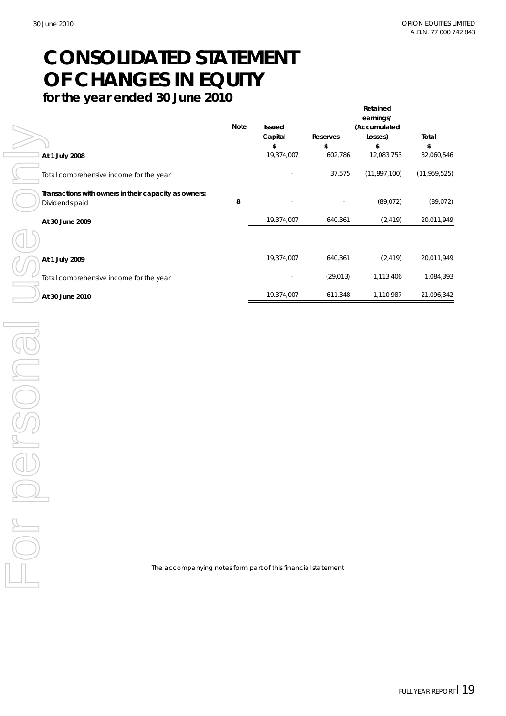# **CONSOLIDATED STATEMENT OF CHANGES IN EQUITY**

**for the year ended 30 June 2010**

|                                                                         | <b>Note</b> | <b>Issued</b>               |                           | Retained<br>earnings/                       |                           |
|-------------------------------------------------------------------------|-------------|-----------------------------|---------------------------|---------------------------------------------|---------------------------|
| At 1 July 2008                                                          |             | Capital<br>\$<br>19,374,007 | Reserves<br>\$<br>602,786 | (Accumulated<br>Losses)<br>\$<br>12,083,753 | Total<br>\$<br>32,060,546 |
| Total comprehensive income for the year                                 |             |                             | 37,575                    | (11, 997, 100)                              | (11, 959, 525)            |
| Transactions with owners in their capacity as owners:<br>Dividends paid | 8           |                             |                           | (89,072)                                    | (89,072)                  |
| At 30 June 2009                                                         |             | 19,374,007                  | 640,361                   | (2, 419)                                    | 20,011,949                |
|                                                                         |             |                             |                           |                                             |                           |
| At 1 July 2009                                                          |             | 19,374,007                  | 640,361                   | (2, 419)                                    | 20,011,949                |
| Total comprehensive income for the year                                 |             |                             | (29, 013)                 | 1,113,406                                   | 1,084,393                 |
| At 30 June 2010                                                         |             | 19,374,007                  | 611,348                   | 1,110,987                                   | 21,096,342                |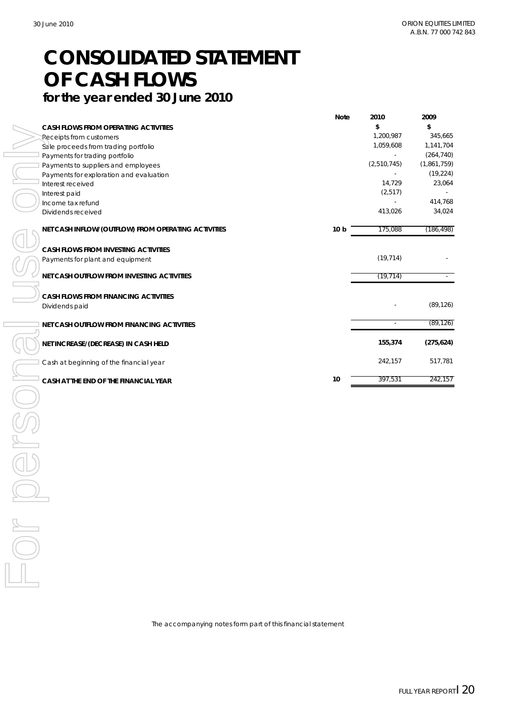# **CONSOLIDATED STATEMENT OF CASH FLOWS for the year ended 30 June 2010**

|                                                               | <b>Note</b>     | 2010        | 2009        |
|---------------------------------------------------------------|-----------------|-------------|-------------|
| <b>CASH FLOWS FROM OPERATING ACTIVITIES</b>                   |                 | \$          | \$          |
| Receipts from customers                                       |                 | 1,200,987   | 345,665     |
| Sale proceeds from trading portfolio                          |                 | 1,059,608   | 1,141,704   |
| Payments for trading portfolio                                |                 |             | (264, 740)  |
| Payments to suppliers and employees                           |                 | (2,510,745) | (1,861,759) |
| Payments for exploration and evaluation                       |                 |             | (19, 224)   |
| Interest received                                             |                 | 14,729      | 23,064      |
| Interest paid                                                 |                 | (2, 517)    |             |
| Income tax refund                                             |                 |             | 414,768     |
| Dividends received                                            |                 | 413,026     | 34,024      |
| NET CASH INFLOW/(OUTFLOW) FROM OPERATING ACTIVITIES           | 10 <sub>b</sub> | 175,088     | (186, 498)  |
| <b>CASH FLOWS FROM INVESTING ACTIVITIES</b>                   |                 |             |             |
| Payments for plant and equipment                              |                 | (19, 714)   |             |
| NET CASH OUTFLOW FROM INVESTING ACTIVITIES                    |                 | (19, 714)   |             |
| <b>CASH FLOWS FROM FINANCING ACTIVITIES</b><br>Dividends paid |                 |             | (89, 126)   |
| <b>NET CASH OUTFLOW FROM FINANCING ACTIVITIES</b>             |                 |             | (89, 126)   |
| NET INCREASE/(DECREASE) IN CASH HELD                          |                 | 155,374     | (275, 624)  |
| Cash at beginning of the financial year                       |                 | 242,157     | 517,781     |
| CASH AT THE END OF THE FINANCIAL YEAR                         | 10              | 397,531     | 242,157     |
|                                                               |                 |             |             |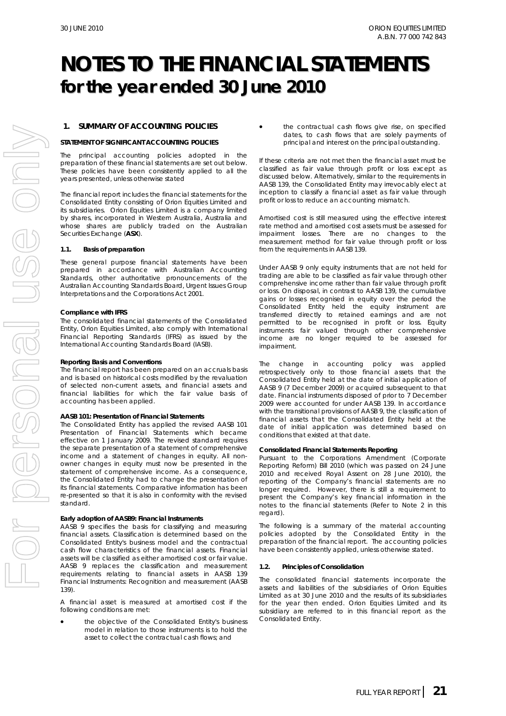### **1. SUMMARY OF ACCOUNTING POLICIES**

### **STATEMENT OF SIGNIFICANT ACCOUNTING POLICIES**

The principal accounting policies adopted in the preparation of these financial statements are set out below. These policies have been consistently applied to all the years presented, unless otherwise stated

The financial report includes the financial statements for the Consolidated Entity consisting of Orion Equities Limited and its subsidiaries. Orion Equities Limited is a company limited by shares, incorporated in Western Australia, Australia and whose shares are publicly traded on the Australian Securities Exchange (**ASX**).

#### **1.1. Basis of preparation**

These general purpose financial statements have been prepared in accordance with Australian Accounting Standards, other authoritative pronouncements of the Australian Accounting Standards Board, Urgent Issues Group Interpretations and the *Corporations Act 2001.* 

#### *Compliance with IFRS*

The consolidated financial statements of the Consolidated Entity, Orion Equities Limited, also comply with International Financial Reporting Standards (IFRS) as issued by the International Accounting Standards Board (IASB).

#### *Reporting Basis and Conventions*

The financial report has been prepared on an accruals basis and is based on historical costs modified by the revaluation of selected non-current assets, and financial assets and financial liabilities for which the fair value basis of accounting has been applied.

#### **AASB 101:** *Presentation of Financial Statements*

The Consolidated Entity has applied the revised AASB 101 *Presentation of Financial Statements* which became effective on 1 January 2009. The revised standard requires the separate presentation of a statement of comprehensive income and a statement of changes in equity. All nonowner changes in equity must now be presented in the statement of comprehensive income. As a consequence, the Consolidated Entity had to change the presentation of its financial statements. Comparative information has been re-presented so that it is also in conformity with the revised standard.

#### **Early adoption of** *AASB9: Financial Instruments*

AASB 9 specifies the basis for classifying and measuring financial assets. Classification is determined based on the Consolidated Entity's business model and the contractual cash flow characteristics of the financial assets. Financial assets will be classified as either amortised cost or fair value. AASB 9 replaces the classification and measurement requirements relating to financial assets in *AASB 139 Financial Instruments: Recognition and measurement* (AASB 139).

A financial asset is measured at amortised cost if the following conditions are met:

 the objective of the Consolidated Entity's business model in relation to those instruments is to hold the asset to collect the contractual cash flows; and

 the contractual cash flows give rise, on specified dates, to cash flows that are solely payments of principal and interest on the principal outstanding.

If these criteria are not met then the financial asset must be classified as fair value through profit or loss except as discussed below. Alternatively, similar to the requirements in AASB 139, the Consolidated Entity may irrevocably elect at inception to classify a financial asset as fair value through profit or loss to reduce an accounting mismatch.

Amortised cost is still measured using the effective interest rate method and amortised cost assets must be assessed for impairment losses. There are no changes to the measurement method for fair value through profit or loss from the requirements in AASB 139.

Under AASB 9 only equity instruments that are not held for trading are able to be classified as fair value through other comprehensive income rather than fair value through profit or loss. On disposal, in contrast to AASB 139, the cumulative gains or losses recognised in equity over the period the Consolidated Entity held the equity instrument are transferred directly to retained earnings and are not permitted to be recognised in profit or loss. Equity instruments fair valued through other comprehensive income are no longer required to be assessed for impairment.

The change in accounting policy was applied retrospectively only to those financial assets that the Consolidated Entity held at the date of initial application of AASB 9 (7 December 2009) or acquired subsequent to that date. Financial instruments disposed of prior to 7 December 2009 were accounted for under AASB 139. In accordance with the transitional provisions of AASB 9, the classification of financial assets that the Consolidated Entity held at the date of initial application was determined based on conditions that existed at that date.

### **Consolidated Financial Statements Reporting**

Pursuant to the *Corporations Amendment (Corporate Reporting Reform) Bill 2010* (which was passed on 24 June 2010 and received Royal Assent on 28 June 2010), the reporting of the Company's financial statements are no longer required. However, there is still a requirement to present the Company's key financial information in the notes to the financial statements (Refer to Note 2 in this regard).

The following is a summary of the material accounting policies adopted by the Consolidated Entity in the preparation of the financial report. The accounting policies have been consistently applied, unless otherwise stated.

### **1.2. Principles of Consolidation**

The consolidated financial statements incorporate the assets and liabilities of the subsidiaries of Orion Equities Limited as at 30 June 2010 and the results of its subsidiaries for the year then ended. Orion Equities Limited and its subsidiary are referred to in this financial report as the Consolidated Entity.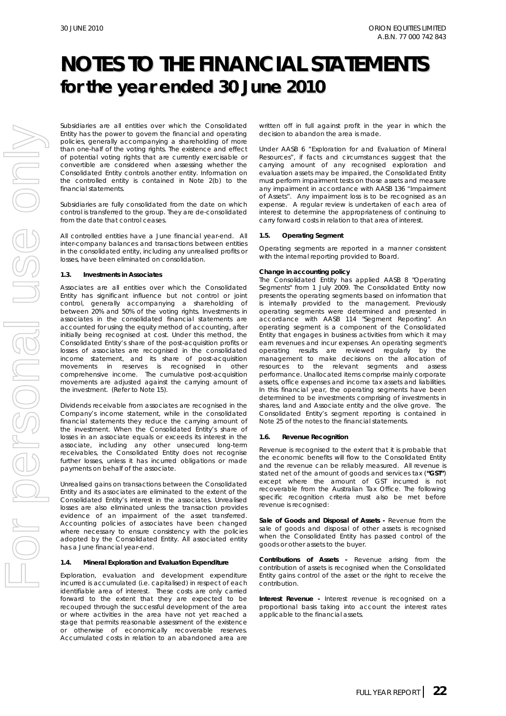Subsidiaries are all entities over which the Consolidated Entity has the power to govern the financial and operating policies, generally accompanying a shareholding of more than one-half of the voting rights. The existence and effect of potential voting rights that are currently exercisable or convertible are considered when assessing whether the Consolidated Entity controls another entity. Information on the controlled entity is contained in Note 2(b) to the financial statements.

Subsidiaries are fully consolidated from the date on which control is transferred to the group. They are de-consolidated from the date that control ceases.

All controlled entities have a June financial year-end. All inter-company balances and transactions between entities in the consolidated entity, including any unrealised profits or losses, have been eliminated on consolidation.

### **1.3. Investments in Associates**

Associates are all entities over which the Consolidated Entity has significant influence but not control or joint control, generally accompanying a shareholding of between 20% and 50% of the voting rights. Investments in associates in the consolidated financial statements are accounted for using the equity method of accounting, after initially being recognised at cost. Under this method, the Consolidated Entity's share of the post-acquisition profits or losses of associates are recognised in the consolidated income statement, and its share of post-acquisition movements in reserves is recognised in other comprehensive income. The cumulative post-acquisition movements are adjusted against the carrying amount of the investment. (Refer to Note 15).

Dividends receivable from associates are recognised in the Company's income statement, while in the consolidated financial statements they reduce the carrying amount of the investment. When the Consolidated Entity's share of losses in an associate equals or exceeds its interest in the associate, including any other unsecured long-term receivables, the Consolidated Entity does not recognise further losses, unless it has incurred obligations or made payments on behalf of the associate.

Unrealised gains on transactions between the Consolidated Entity and its associates are eliminated to the extent of the Consolidated Entity's interest in the associates. Unrealised losses are also eliminated unless the transaction provides evidence of an impairment of the asset transferred. Accounting policies of associates have been changed where necessary to ensure consistency with the policies adopted by the Consolidated Entity. All associated entity has a June financial year-end.

### **1.4. Mineral Exploration and Evaluation Expenditure**

Exploration, evaluation and development expenditure incurred is accumulated (i.e. capitalised) in respect of each identifiable area of interest. These costs are only carried forward to the extent that they are expected to be recouped through the successful development of the area or where activities in the area have not yet reached a stage that permits reasonable assessment of the existence or otherwise of economically recoverable reserves. Accumulated costs in relation to an abandoned area are

written off in full against profit in the year in which the decision to abandon the area is made.

Under AASB 6 "Exploration for and Evaluation of Mineral Resources", if facts and circumstances suggest that the carrying amount of any recognised exploration and evaluation assets may be impaired, the Consolidated Entity must perform impairment tests on those assets and measure any impairment in accordance with AASB 136 "Impairment of Assets". Any impairment loss is to be recognised as an expense. A regular review is undertaken of each area of interest to determine the appropriateness of continuing to carry forward costs in relation to that area of interest.

#### **1.5. Operating Segment**

Operating segments are reported in a manner consistent with the internal reporting provided to Board.

#### *Change in accounting policy*

The Consolidated Entity has applied AASB 8 "Operating Segments" from 1 July 2009. The Consolidated Entity now presents the operating segments based on information that is internally provided to the management. Previously operating segments were determined and presented in accordance with AASB 114 "Segment Reporting". An operating segment is a component of the Consolidated Entity that engages in business activities from which it may earn revenues and incur expenses. An operating segment's operating results are reviewed regularly by the management to make decisions on the allocation of resources to the relevant segments and assess performance. Unallocated items comprise mainly corporate assets, office expenses and income tax assets and liabilities. In this financial year, the operating segments have been determined to be investments comprising of investments in shares, land and Associate entity and the olive grove. The Consolidated Entity's segment reporting is contained in Note 25 of the notes to the financial statements.

#### **1.6. Revenue Recognition**

Revenue is recognised to the extent that it is probable that the economic benefits will flow to the Consolidated Entity and the revenue can be reliably measured. All revenue is stated net of the amount of goods and services tax (**"GST"**) except where the amount of GST incurred is not recoverable from the Australian Tax Office. The following specific recognition criteria must also be met before revenue is recognised:

*Sale of Goods and Disposal of Assets* **-** Revenue from the sale of goods and disposal of other assets is recognised when the Consolidated Entity has passed control of the goods or other assets to the buyer.

*Contributions of Assets* **-** Revenue arising from the contribution of assets is recognised when the Consolidated Entity gains control of the asset or the right to receive the contribution.

*Interest Revenue* **-** Interest revenue is recognised on a proportional basis taking into account the interest rates applicable to the financial assets.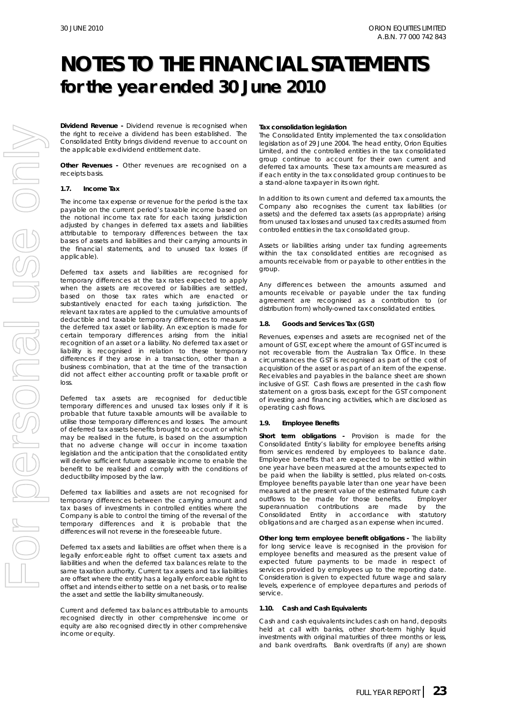*Dividend Revenue* **-** Dividend revenue is recognised when the right to receive a dividend has been established. The Consolidated Entity brings dividend revenue to account on the applicable ex-dividend entitlement date.

*Other Revenues* - Other revenues are recognised on a receipts basis.

#### **1.7. Income Tax**

The income tax expense or revenue for the period is the tax payable on the current period's taxable income based on the notional income tax rate for each taxing jurisdiction adjusted by changes in deferred tax assets and liabilities attributable to temporary differences between the tax bases of assets and liabilities and their carrying amounts in the financial statements, and to unused tax losses (if applicable).

Deferred tax assets and liabilities are recognised for temporary differences at the tax rates expected to apply when the assets are recovered or liabilities are settled, based on those tax rates which are enacted or substantively enacted for each taxing jurisdiction. The relevant tax rates are applied to the cumulative amounts of deductible and taxable temporary differences to measure the deferred tax asset or liability. An exception is made for certain temporary differences arising from the initial recognition of an asset or a liability. No deferred tax asset or liability is recognised in relation to these temporary differences if they arose in a transaction, other than a business combination, that at the time of the transaction did not affect either accounting profit or taxable profit or loss.

Deferred tax assets are recognised for deductible temporary differences and unused tax losses only if it is probable that future taxable amounts will be available to utilise those temporary differences and losses. The amount of deferred tax assets benefits brought to account or which may be realised in the future, is based on the assumption that no adverse change will occur in income taxation legislation and the anticipation that the consolidated entity will derive sufficient future assessable income to enable the benefit to be realised and comply with the conditions of deductibility imposed by the law.

Deferred tax liabilities and assets are not recognised for temporary differences between the carrying amount and tax bases of investments in controlled entities where the Company is able to control the timing of the reversal of the temporary differences and it is probable that the differences will not reverse in the foreseeable future.

Deferred tax assets and liabilities are offset when there is a legally enforceable right to offset current tax assets and liabilities and when the deferred tax balances relate to the same taxation authority. Current tax assets and tax liabilities are offset where the entity has a legally enforceable right to offset and intends either to settle on a net basis, or to realise the asset and settle the liability simultaneously.

Current and deferred tax balances attributable to amounts recognised directly in other comprehensive income or equity are also recognised directly in other comprehensive income or equity.

### **Tax consolidation legislation**

The Consolidated Entity implemented the tax consolidation legislation as of 29 June 2004. The head entity, Orion Equities Limited, and the controlled entities in the tax consolidated group continue to account for their own current and deferred tax amounts. These tax amounts are measured as if each entity in the tax consolidated group continues to be a stand-alone taxpayer in its own right.

In addition to its own current and deferred tax amounts, the Company also recognises the current tax liabilities (or assets) and the deferred tax assets (as appropriate) arising from unused tax losses and unused tax credits assumed from controlled entities in the tax consolidated group.

Assets or liabilities arising under tax funding agreements within the tax consolidated entities are recognised as amounts receivable from or payable to other entities in the group.

Any differences between the amounts assumed and amounts receivable or payable under the tax funding agreement are recognised as a contribution to (or distribution from) wholly-owned tax consolidated entities.

#### **1.8. Goods and Services Tax (GST)**

Revenues, expenses and assets are recognised net of the amount of GST, except where the amount of GST incurred is not recoverable from the Australian Tax Office. In these circumstances the GST is recognised as part of the cost of acquisition of the asset or as part of an item of the expense. Receivables and payables in the balance sheet are shown inclusive of GST. Cash flows are presented in the cash flow statement on a gross basis, except for the GST component of investing and financing activities, which are disclosed as operating cash flows.

#### **1.9. Employee Benefits**

*Short term obligations -* Provision is made for the Consolidated Entity's liability for employee benefits arising from services rendered by employees to balance date. Employee benefits that are expected to be settled within one year have been measured at the amounts expected to be paid when the liability is settled, plus related on-costs. Employee benefits payable later than one year have been measured at the present value of the estimated future cash outflows to be made for those benefits. Employer superannuation contributions are made by the Consolidated Entity in accordance with statutory obligations and are charged as an expense when incurred.

**Other long term employee benefit obligations -** The liability for long service leave is recognised in the provision for employee benefits and measured as the present value of expected future payments to be made in respect of services provided by employees up to the reporting date. Consideration is given to expected future wage and salary levels, experience of employee departures and periods of service.

#### **1.10. Cash and Cash Equivalents**

Cash and cash equivalents includes cash on hand, deposits held at call with banks, other short-term highly liquid investments with original maturities of three months or less, and bank overdrafts. Bank overdrafts (if any) are shown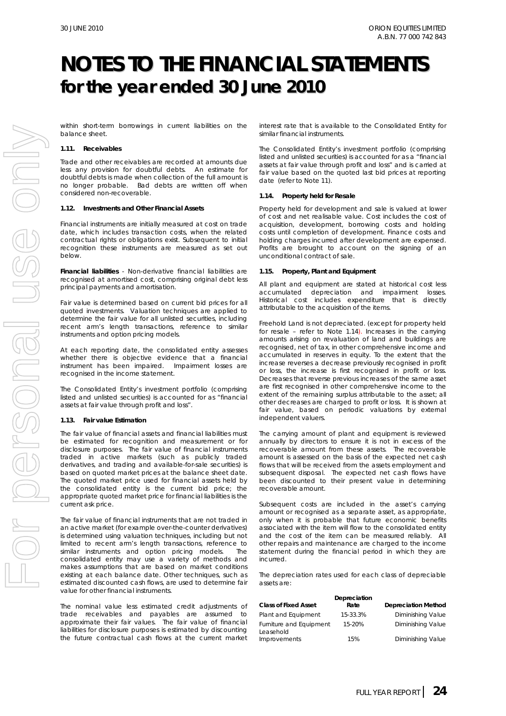within short-term borrowings in current liabilities on the balance sheet.

### **1.11. Receivables**

Trade and other receivables are recorded at amounts due less any provision for doubtful debts. An estimate for doubtful debts is made when collection of the full amount is no longer probable. Bad debts are written off when considered non-recoverable.

#### **1.12. Investments and Other Financial Assets**

Financial instruments are initially measured at cost on trade date, which includes transaction costs, when the related contractual rights or obligations exist. Subsequent to initial recognition these instruments are measured as set out below.

*Financial liabilities* - Non-derivative financial liabilities are recognised at amortised cost, comprising original debt less principal payments and amortisation.

Fair value is determined based on current bid prices for all quoted investments. Valuation techniques are applied to determine the fair value for all unlisted securities, including recent arm's length transactions, reference to similar instruments and option pricing models.

At each reporting date, the consolidated entity assesses whether there is objective evidence that a financial instrument has been impaired. Impairment losses are recognised in the income statement.

The Consolidated Entity's investment portfolio (comprising listed and unlisted securities) is accounted for as "financial assets at fair value through profit and loss".

#### **1.13. Fair value Estimation**

The fair value of financial assets and financial liabilities must be estimated for recognition and measurement or for disclosure purposes. The fair value of financial instruments traded in active markets (such as publicly traded derivatives, and trading and available-for-sale securities) is based on quoted market prices at the balance sheet date. The quoted market price used for financial assets held by the consolidated entity is the current bid price; the appropriate quoted market price for financial liabilities is the current ask price.

The fair value of financial instruments that are not traded in an active market (for example over-the-counter derivatives) is determined using valuation techniques, including but not limited to recent arm's length transactions, reference to similar instruments and option pricing models. The consolidated entity may use a variety of methods and makes assumptions that are based on market conditions existing at each balance date. Other techniques, such as estimated discounted cash flows, are used to determine fair value for other financial instruments.

The nominal value less estimated credit adjustments of trade receivables and payables are assumed to approximate their fair values. The fair value of financial liabilities for disclosure purposes is estimated by discounting the future contractual cash flows at the current market interest rate that is available to the Consolidated Entity for similar financial instruments.

The Consolidated Entity's investment portfolio (comprising listed and unlisted securities) is accounted for as a "financial assets at fair value through profit and loss" and is carried at fair value based on the quoted last bid prices at reporting date (refer to Note 11).

### **1.14. Property held for Resale**

Property held for development and sale is valued at lower of cost and net realisable value. Cost includes the cost of acquisition, development, borrowing costs and holding costs until completion of development. Finance costs and holding charges incurred after development are expensed. Profits are brought to account on the signing of an unconditional contract of sale.

#### **1.15. Property, Plant and Equipment**

All plant and equipment are stated at historical cost less accumulated depreciation and impairment losses. Historical cost includes expenditure that is directly attributable to the acquisition of the items.

Freehold Land is not depreciated. (except for property held for resale – refer to Note 1.14). Increases in the carrying amounts arising on revaluation of land and buildings are recognised, net of tax, in other comprehensive income and accumulated in reserves in equity. To the extent that the increase reverses a decrease previously recognised in profit or loss, the increase is first recognised in profit or loss. Decreases that reverse previous increases of the same asset are first recognised in other comprehensive income to the extent of the remaining surplus attributable to the asset; all other decreases are charged to profit or loss. It is shown at fair value, based on periodic valuations by external independent valuers.

The carrying amount of plant and equipment is reviewed annually by directors to ensure it is not in excess of the recoverable amount from these assets. The recoverable amount is assessed on the basis of the expected net cash flows that will be received from the assets employment and subsequent disposal. The expected net cash flows have been discounted to their present value in determining recoverable amount.

Subsequent costs are included in the asset's carrying amount or recognised as a separate asset, as appropriate, only when it is probable that future economic benefits associated with the item will flow to the consolidated entity and the cost of the item can be measured reliably. All other repairs and maintenance are charged to the income statement during the financial period in which they are incurred.

The depreciation rates used for each class of depreciable assets are:

| <b>Class of Fixed Asset</b>          | Depreciation<br>Rate | <b>Depreciation Method</b> |
|--------------------------------------|----------------------|----------------------------|
| Plant and Equipment                  | 15-33.3%             | Diminishing Value          |
| Furniture and Equipment<br>Leasehold | 15-20%               | Diminishing Value          |
| <b>Improvements</b>                  | 15%                  | Diminishing Value          |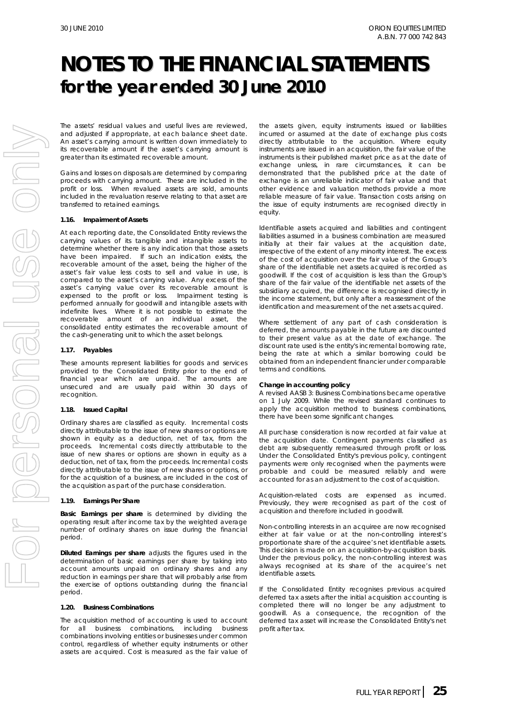The assets' residual values and useful lives are reviewed, and adjusted if appropriate, at each balance sheet date. An asset's carrying amount is written down immediately to its recoverable amount if the asset's carrying amount is greater than its estimated recoverable amount.

Gains and losses on disposals are determined by comparing proceeds with carrying amount. These are included in the profit or loss. When revalued assets are sold, amounts included in the revaluation reserve relating to that asset are transferred to retained earnings.

### **1.16. Impairment of Assets**

At each reporting date, the Consolidated Entity reviews the carrying values of its tangible and intangible assets to determine whether there is any indication that those assets have been impaired. If such an indication exists, the recoverable amount of the asset, being the higher of the asset's fair value less costs to sell and value in use, is compared to the asset's carrying value. Any excess of the asset's carrying value over its recoverable amount is expensed to the profit or loss. Impairment testing is performed annually for goodwill and intangible assets with indefinite lives. Where it is not possible to estimate the recoverable amount of an individual asset, the consolidated entity estimates the recoverable amount of the cash-generating unit to which the asset belongs.

### **1.17. Payables**

These amounts represent liabilities for goods and services provided to the Consolidated Entity prior to the end of financial year which are unpaid. The amounts are unsecured and are usually paid within 30 days of recognition.

#### **1.18. Issued Capital**

Ordinary shares are classified as equity. Incremental costs directly attributable to the issue of new shares or options are shown in equity as a deduction, net of tax, from the proceeds. Incremental costs directly attributable to the issue of new shares or options are shown in equity as a deduction, net of tax, from the proceeds. Incremental costs directly attributable to the issue of new shares or options, or for the acquisition of a business, are included in the cost of the acquisition as part of the purchase consideration.

#### **1.19. Earnings Per Share**

*Basic Earnings per share* is determined by dividing the operating result after income tax by the weighted average number of ordinary shares on issue during the financial period.

*Diluted Earnings per share* adjusts the figures used in the determination of basic earnings per share by taking into account amounts unpaid on ordinary shares and any reduction in earnings per share that will probably arise from the exercise of options outstanding during the financial period.

#### **1.20. Business Combinations**

The acquisition method of accounting is used to account for all business combinations, including business combinations involving entities or businesses under common control, regardless of whether equity instruments or other assets are acquired. Cost is measured as the fair value of

the assets given, equity instruments issued or liabilities incurred or assumed at the date of exchange plus costs directly attributable to the acquisition. Where equity instruments are issued in an acquisition, the fair value of the instruments is their published market price as at the date of exchange unless, in rare circumstances, it can be demonstrated that the published price at the date of exchange is an unreliable indicator of fair value and that other evidence and valuation methods provide a more reliable measure of fair value. Transaction costs arising on the issue of equity instruments are recognised directly in equity.

Identifiable assets acquired and liabilities and contingent liabilities assumed in a business combination are measured initially at their fair values at the acquisition date, irrespective of the extent of any minority interest. The excess of the cost of acquisition over the fair value of the Group's share of the identifiable net assets acquired is recorded as goodwill. If the cost of acquisition is less than the Group's share of the fair value of the identifiable net assets of the subsidiary acquired, the difference is recognised directly in the income statement, but only after a reassessment of the identification and measurement of the net assets acquired.

Where settlement of any part of cash consideration is deferred, the amounts payable in the future are discounted to their present value as at the date of exchange. The discount rate used is the entity's incremental borrowing rate, being the rate at which a similar borrowing could be obtained from an independent financier under comparable terms and conditions.

### *Change in accounting policy*

A revised AASB 3: *Business Combinations* became operative on 1 July 2009. While the revised standard continues to apply the acquisition method to business combinations, there have been some significant changes.

All purchase consideration is now recorded at fair value at the acquisition date. Contingent payments classified as debt are subsequently remeasured through profit or loss. Under the Consolidated Entity's previous policy, contingent payments were only recognised when the payments were probable and could be measured reliably and were accounted for as an adjustment to the cost of acquisition.

Acquisition-related costs are expensed as incurred. Previously, they were recognised as part of the cost of acquisition and therefore included in goodwill.

Non-controlling interests in an acquiree are now recognised either at fair value or at the non-controlling interest's proportionate share of the acquiree's net identifiable assets. This decision is made on an acquisition-by-acquisition basis. Under the previous policy, the non-controlling interest was always recognised at its share of the acquiree's net identifiable assets.

If the Consolidated Entity recognises previous acquired deferred tax assets after the initial acquisition accounting is completed there will no longer be any adjustment to goodwill. As a consequence, the recognition of the deferred tax asset will increase the Consolidated Entity's net profit after tax.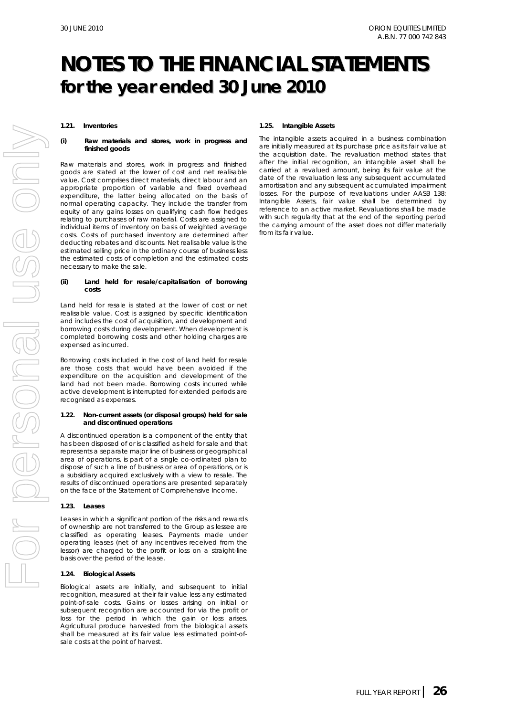#### **1.21. Inventories**

#### *(i)* **Raw materials and stores, work in progress and finished goods**

Raw materials and stores, work in progress and finished goods are stated at the lower of cost and net realisable value. Cost comprises direct materials, direct labour and an appropriate proportion of variable and fixed overhead expenditure, the latter being allocated on the basis of normal operating capacity. They include the transfer from equity of any gains losses on qualifying cash flow hedges relating to purchases of raw material. Costs are assigned to individual items of inventory on basis of weighted average costs. Costs of purchased inventory are determined after deducting rebates and discounts. Net realisable value is the estimated selling price in the ordinary course of business less the estimated costs of completion and the estimated costs necessary to make the sale.

#### *(ii)* **Land held for resale/capitalisation of borrowing costs**

Land held for resale is stated at the lower of cost or net realisable value. Cost is assigned by specific identification and includes the cost of acquisition, and development and borrowing costs during development. When development is completed borrowing costs and other holding charges are expensed as incurred.

Borrowing costs included in the cost of land held for resale are those costs that would have been avoided if the expenditure on the acquisition and development of the land had not been made. Borrowing costs incurred while active development is interrupted for extended periods are recognised as expenses.

### **1.22. Non-current assets (or disposal groups) held for sale and discontinued operations**

A discontinued operation is a component of the entity that has been disposed of or is classified as held for sale and that represents a separate major line of business or geographical area of operations, is part of a single co-ordinated plan to dispose of such a line of business or area of operations, or is a subsidiary acquired exclusively with a view to resale. The results of discontinued operations are presented separately on the face of the Statement of Comprehensive Income.

#### **1.23. Leases**

Leases in which a significant portion of the risks and rewards of ownership are not transferred to the Group as lessee are classified as operating leases. Payments made under operating leases (net of any incentives received from the lessor) are charged to the profit or loss on a straight-line basis over the period of the lease.

#### **1.24. Biological Assets**

Biological assets are initially, and subsequent to initial recognition, measured at their fair value less any estimated point-of-sale costs. Gains or losses arising on initial or subsequent recognition are accounted for via the profit or loss for the period in which the gain or loss arises. Agricultural produce harvested from the biological assets shall be measured at its fair value less estimated point-ofsale costs at the point of harvest.

#### **1.25. Intangible Assets**

The intangible assets acquired in a business combination are initially measured at its purchase price as its fair value at the acquisition date. The revaluation method states that after the initial recognition, an intangible asset shall be carried at a revalued amount, being its fair value at the date of the revaluation less any subsequent accumulated amortisation and any subsequent accumulated impairment losses. For the purpose of revaluations under AASB 138: *Intangible Assets*, fair value shall be determined by reference to an active market. Revaluations shall be made with such regularity that at the end of the reporting period the carrying amount of the asset does not differ materially from its fair value.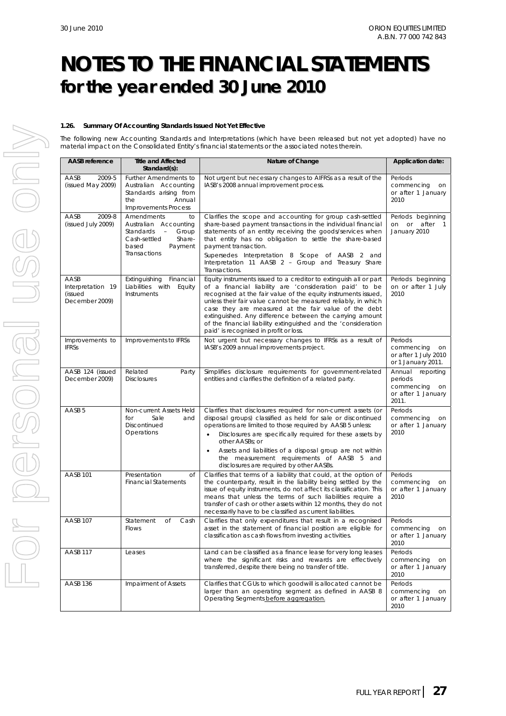### **1.26. Summary Of Accounting Standards Issued Not Yet Effective**

The following new Accounting Standards and Interpretations (which have been released but not yet adopted) have no material impact on the Consolidated Entity's financial statements or the associated notes therein.

| <b>AASB</b> reference                                  | <b>Title and Affected</b><br>Standard(s):                                                                                                       | Nature of Change                                                                                                                                                                                                                                                                                                                                                                                                                                                                                | Application date:                                                              |
|--------------------------------------------------------|-------------------------------------------------------------------------------------------------------------------------------------------------|-------------------------------------------------------------------------------------------------------------------------------------------------------------------------------------------------------------------------------------------------------------------------------------------------------------------------------------------------------------------------------------------------------------------------------------------------------------------------------------------------|--------------------------------------------------------------------------------|
| AASB<br>2009-5<br>(issued May 2009)                    | Further Amendments to<br>Australian Accounting<br>Standards arising from<br>Annual<br>the<br><b>Improvements Process</b>                        | Not urgent but necessary changes to AIFRSs as a result of the<br>IASB's 2008 annual improvement process.                                                                                                                                                                                                                                                                                                                                                                                        | Periods<br>commencing<br>on<br>or after 1 January<br>2010                      |
| AASB<br>2009-8<br>(issued July 2009)                   | Amendments<br>to<br>Australian Accounting<br>Standards<br>$\sim$ $^{-1}$<br>Group<br>Cash-settled<br>Share-<br>based<br>Payment<br>Transactions | Clarifies the scope and accounting for group cash-settled<br>share-based payment transactions in the individual financial<br>statements of an entity receiving the goods/services when<br>that entity has no obligation to settle the share-based<br>payment transaction.<br>Supersedes Interpretation 8 Scope of AASB 2 and<br>Interpretation 11 AASB 2 - Group and Treasury Share<br>Transactions.                                                                                            | Periods beginning<br>on or<br>after<br>$\overline{1}$<br>January 2010          |
| AASB<br>Interpretation 19<br>(issued<br>December 2009) | Extinguishing<br>Financial<br>Liabilities with Equity<br>Instruments                                                                            | Equity instruments issued to a creditor to extinguish all or part<br>of a financial liability are 'consideration paid' to be<br>recognised at the fair value of the equity instruments issued,<br>unless their fair value cannot be measured reliably, in which<br>case they are measured at the fair value of the debt<br>extinguished. Any difference between the carrying amount<br>of the financial liability extinguished and the 'consideration<br>paid' is recognised in profit or loss. | Periods beginning<br>on or after 1 July<br>2010                                |
| Improvements to<br><b>IFRSs</b>                        | Improvements to IFRSs                                                                                                                           | Not urgent but necessary changes to IFRSs as a result of<br>IASB's 2009 annual improvements project.                                                                                                                                                                                                                                                                                                                                                                                            | Periods<br>commencing<br>on<br>or after 1 July 2010<br>or 1 January 2011.      |
| AASB 124 (issued<br>December 2009)                     | Related<br>Party<br><b>Disclosures</b>                                                                                                          | Simplifies disclosure requirements for government-related<br>entities and clarifies the definition of a related party.                                                                                                                                                                                                                                                                                                                                                                          | Annual reporting<br>periods<br>commencing<br>on<br>or after 1 January<br>2011. |
| AASB <sub>5</sub>                                      | Non-current Assets Held<br>for<br>Sale<br>and<br>Discontinued<br>Operations                                                                     | Clarifies that disclosures required for non-current assets (or<br>disposal groups) classified as held for sale or discontinued<br>operations are limited to those required by AASB 5 unless:<br>Disclosures are specifically required for these assets by<br>other AASBs; or<br>Assets and liabilities of a disposal group are not within<br>$\bullet$<br>the measurement requirements of AASB 5 and<br>disclosures are required by other AASBs.                                                | Periods<br>commencing<br>on<br>or after 1 January<br>2010                      |
| AASB <sub>101</sub>                                    | Presentation<br><b>of</b><br><b>Financial Statements</b>                                                                                        | Clarifies that terms of a liability that could, at the option of<br>the counterparty, result in the liability being settled by the<br>issue of equity instruments, do not affect its classification. This<br>means that unless the terms of such liabilities require a<br>transfer of cash or other assets within 12 months, they do not<br>necessarily have to be classified as current liabilities.                                                                                           | Periods<br>commencing<br>on<br>or after 1 January<br>2010                      |
| AASB 107                                               | Statement<br>Οf<br>Cash<br>Flows                                                                                                                | Clarifies that only expenditures that result in a recognised<br>asset in the statement of financial position are eligible for<br>classification as cash flows from investing activities.                                                                                                                                                                                                                                                                                                        | Periods<br>commencing<br>on<br>or after 1 January<br>2010                      |
| AASB 117                                               | Leases                                                                                                                                          | Land can be classified as a finance lease for very long leases<br>where the significant risks and rewards are effectively<br>transferred, despite there being no transfer of title.                                                                                                                                                                                                                                                                                                             | Periods<br>commencing<br>on<br>or after 1 January<br>2010                      |
| AASB <sub>136</sub>                                    | Impairment of Assets                                                                                                                            | Clarifies that CGUs to which goodwill is allocated cannot be<br>larger than an operating segment as defined in AASB 8<br>Operating Segments before aggregation.                                                                                                                                                                                                                                                                                                                                 | Periods<br>commencing<br>on<br>or after 1 January<br>2010                      |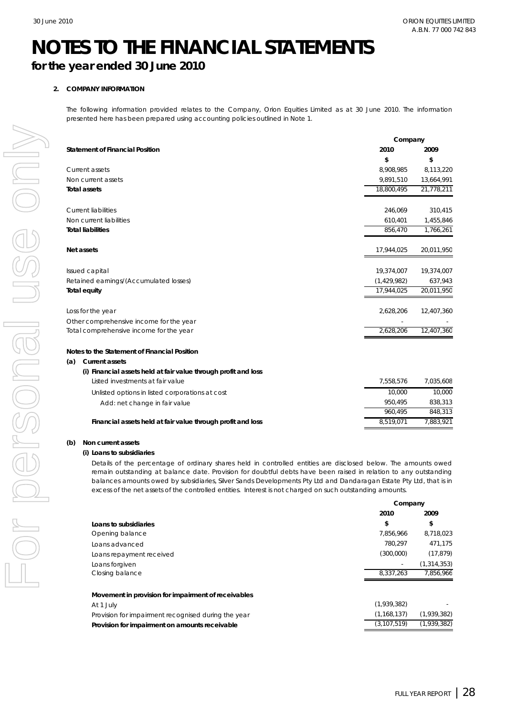### **2. COMPANY INFORMATION**

The following information provided relates to the Company, Orion Equities Limited as at 30 June 2010. The information presented here has been prepared using accounting policies outlined in Note 1.

|                                                                 | Company     |            |
|-----------------------------------------------------------------|-------------|------------|
| <b>Statement of Financial Position</b>                          | 2010        | 2009       |
|                                                                 | \$          | \$         |
| Current assets                                                  | 8,908,985   | 8,113,220  |
| Non current assets                                              | 9,891,510   | 13,664,991 |
| <b>Total assets</b>                                             | 18,800,495  | 21,778,211 |
| <b>Current liabilities</b>                                      | 246,069     | 310,415    |
| Non current liabilities                                         | 610,401     | 1,455,846  |
| <b>Total liabilities</b>                                        | 856,470     | 1,766,261  |
| Net assets                                                      | 17,944,025  | 20,011,950 |
| Issued capital                                                  | 19,374,007  | 19,374,007 |
| Retained earnings/(Accumulated losses)                          | (1,429,982) | 637,943    |
| <b>Total equity</b>                                             | 17,944,025  | 20,011,950 |
| Loss for the year                                               | 2,628,206   | 12,407,360 |
| Other comprehensive income for the year                         |             |            |
| Total comprehensive income for the year                         | 2,628,206   | 12,407,360 |
| Notes to the Statement of Financial Position                    |             |            |
| <b>Current assets</b><br>(a)                                    |             |            |
| (i) Financial assets held at fair value through profit and loss |             |            |
| Listed investments at fair value                                | 7,558,576   | 7,035,608  |
| Unlisted options in listed corporations at cost                 | 10.000      | 10,000     |
| Add: net change in fair value                                   | 950,495     | 838,313    |
|                                                                 | 960,495     | 848,313    |
| Financial assets held at fair value through profit and loss     | 8,519,071   | 7,883,921  |

### **(b) Non current assets**

### **(i) Loans to subsidiaries**

Details of the percentage of ordinary shares held in controlled entities are disclosed below. The amounts owed remain outstanding at balance date. Provision for doubtful debts have been raised in relation to any outstanding balances amounts owed by subsidiaries, Silver Sands Developments Pty Ltd and Dandaragan Estate Pty Ltd, that is in excess of the net assets of the controlled entities. Interest is not charged on such outstanding amounts.

|                                                     | Company                  |               |
|-----------------------------------------------------|--------------------------|---------------|
|                                                     | 2010                     | 2009          |
| Loans to subsidiaries                               | \$                       | \$            |
| Opening balance                                     | 7,856,966                | 8,718,023     |
| Loans advanced                                      | 780.297                  | 471,175       |
| Loans repayment received                            | (300,000)                | (17, 879)     |
| Loans forgiven                                      | $\overline{\phantom{a}}$ | (1, 314, 353) |
| Closing balance                                     | 8.337.263                | 7,856,966     |
| Movement in provision for impairment of receivables |                          |               |
| At 1 July                                           | (1,939,382)              |               |
| Provision for impairment recognised during the year | (1, 168, 137)            | (1,939,382)   |
| Provision for impairment on amounts receivable      | (3.107.519)              | (1.939.382)   |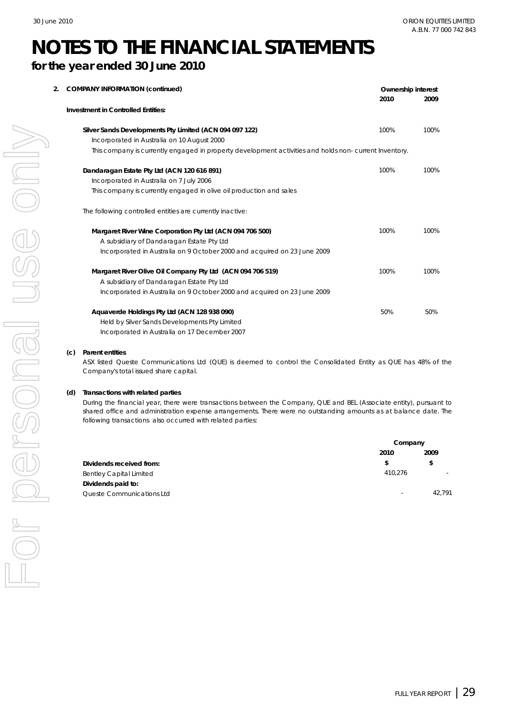# **for the year ended 30 June 2010**

| 2. | <b>COMPANY INFORMATION (continued)</b>                                                                 | Ownership interest<br>2010 | 2009 |
|----|--------------------------------------------------------------------------------------------------------|----------------------------|------|
|    | <b>Investment in Controlled Entities:</b>                                                              |                            |      |
|    | Silver Sands Developments Pty Limited (ACN 094 097 122)                                                | 100%                       | 100% |
|    | Incorporated in Australia on 10 August 2000                                                            |                            |      |
|    | This company is currently engaged in property development activities and holds non- current Inventory. |                            |      |
|    | Dandaragan Estate Pty Ltd (ACN 120 616 891)                                                            | 100%                       | 100% |
|    | Incorporated in Australia on 7 July 2006                                                               |                            |      |
|    | This company is currently engaged in olive oil production and sales                                    |                            |      |
|    | The following controlled entities are currently inactive:                                              |                            |      |
|    | Margaret River Wine Corporation Pty Ltd (ACN 094 706 500)                                              | 100%                       | 100% |
|    | A subsidiary of Dandaragan Estate Pty Ltd                                                              |                            |      |
|    | Incorporated in Australia on 9 October 2000 and acquired on 23 June 2009                               |                            |      |
|    | Margaret River Olive Oil Company Pty Ltd (ACN 094 706 519)                                             | 100%                       | 100% |
|    | A subsidiary of Dandaragan Estate Pty Ltd                                                              |                            |      |
|    | Incorporated in Australia on 9 October 2000 and acquired on 23 June 2009                               |                            |      |
|    | Aquaverde Holdings Pty Ltd (ACN 128 938 090)                                                           | 50%                        | 50%  |
|    | Held by Silver Sands Developments Pty Limited                                                          |                            |      |
|    | Incorporated in Australia on 17 December 2007                                                          |                            |      |

### **(c) Parent entities**

ASX listed Queste Communications Ltd (QUE) is deemed to control the Consolidated Entity as QUE has 48% of the Company's total issued share capital.

### **(d) Transactions with related parties**

During the financial year, there were transactions between the Company, QUE and BEL (Associate entity), pursuant to shared office and administration expense arrangements. There were no outstanding amounts as at balance date. The following transactions also occurred with related parties:

|                                | Company |        |
|--------------------------------|---------|--------|
|                                | 2010    | 2009   |
| Dividends received from:       | £.      |        |
| <b>Bentley Capital Limited</b> | 410.276 |        |
| Dividends paid to:             |         |        |
| Queste Communications Ltd      |         | 42.791 |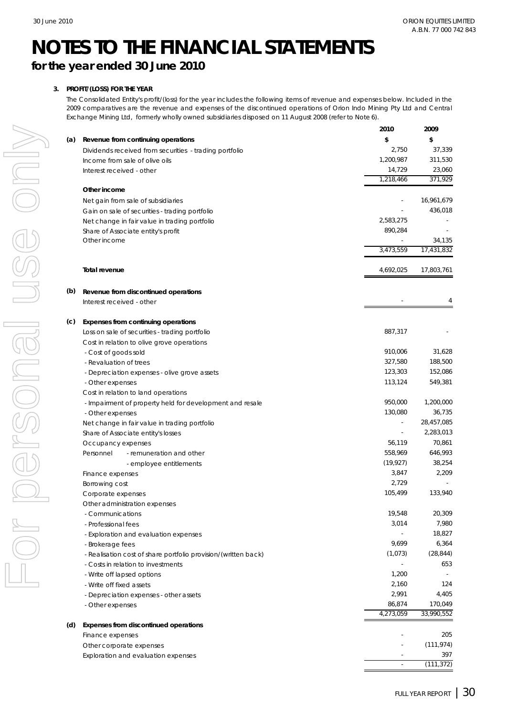# **for the year ended 30 June 2010**

## **3. PROFIT/(LOSS) FOR THE YEAR**

The Consolidated Entity's profit/(loss) for the year includes the following items of revenue and expenses below. Included in the 2009 comparatives are the revenue and expenses of the discontinued operations of Orion Indo Mining Pty Ltd and Central Exchange Mining Ltd, formerly wholly owned subsidiaries disposed on 11 August 2008 (refer to Note 6).

|     |                                                                | 2010                     | 2009              |
|-----|----------------------------------------------------------------|--------------------------|-------------------|
| (a) | Revenue from continuing operations                             | \$                       | \$                |
|     | Dividends received from securities - trading portfolio         | 2,750                    | 37,339            |
|     | Income from sale of olive oils                                 | 1,200,987                | 311,530           |
|     | Interest received - other                                      | 14,729                   | 23,060            |
|     |                                                                | 1,218,466                | 371,929           |
|     | Other income                                                   |                          |                   |
|     | Net gain from sale of subsidiaries                             |                          | 16,961,679        |
|     | Gain on sale of securities - trading portfolio                 |                          | 436,018           |
|     | Net change in fair value in trading portfolio                  | 2,583,275                |                   |
|     | Share of Associate entity's profit                             | 890,284                  |                   |
|     | Other income                                                   |                          | 34,135            |
|     |                                                                | 3,473,559                | 17,431,832        |
|     |                                                                |                          |                   |
|     | Total revenue                                                  | 4,692,025                | 17,803,761        |
| (b) | Revenue from discontinued operations                           |                          |                   |
|     | Interest received - other                                      |                          | 4                 |
| (c) | Expenses from continuing operations                            |                          |                   |
|     | Loss on sale of securities - trading portfolio                 | 887,317                  |                   |
|     | Cost in relation to olive grove operations                     |                          |                   |
|     | - Cost of goods sold                                           | 910,006                  | 31,628            |
|     | - Revaluation of trees                                         | 327,580                  | 188,500           |
|     | - Depreciation expenses - olive grove assets                   | 123,303                  | 152,086           |
|     | - Other expenses                                               | 113,124                  | 549,381           |
|     |                                                                |                          |                   |
|     | Cost in relation to land operations                            | 950,000                  | 1,200,000         |
|     | - Impairment of property held for development and resale       | 130,080                  | 36,735            |
|     | - Other expenses                                               | ÷                        | 28,457,085        |
|     | Net change in fair value in trading portfolio                  | $\overline{\phantom{a}}$ | 2,283,013         |
|     | Share of Associate entity's losses                             |                          |                   |
|     | Occupancy expenses                                             | 56,119                   | 70,861<br>646,993 |
|     | Personnel<br>- remuneration and other                          | 558,969                  |                   |
|     | - employee entitlements                                        | (19, 927)                | 38,254            |
|     | Finance expenses                                               | 3,847                    | 2,209             |
|     | Borrowing cost                                                 | 2,729                    |                   |
|     | Corporate expenses                                             | 105,499                  | 133,940           |
|     | Other administration expenses                                  |                          |                   |
|     | - Communications                                               | 19,548                   | 20,309            |
|     | - Professional fees                                            | 3,014                    | 7,980             |
|     | - Exploration and evaluation expenses                          |                          | 18,827            |
|     | - Brokerage fees                                               | 9,699                    | 6,364             |
|     | - Realisation cost of share portfolio provision/(written back) | (1,073)                  | (28, 844)         |
|     | - Costs in relation to investments                             |                          | 653               |
|     | - Write off lapsed options                                     | 1,200                    |                   |
|     | - Write off fixed assets                                       | 2,160                    | 124               |
|     | - Depreciation expenses - other assets                         | 2,991                    | 4,405             |
|     | - Other expenses                                               | 86,874                   | 170,049           |
|     |                                                                | 4,273,059                | 33,990,552        |
| (d) | Expenses from discontinued operations                          |                          |                   |
|     | Finance expenses                                               |                          | 205               |
|     | Other corporate expenses                                       |                          | (111, 974)        |
|     | Exploration and evaluation expenses                            |                          | 397               |
|     |                                                                |                          | (111, 372)        |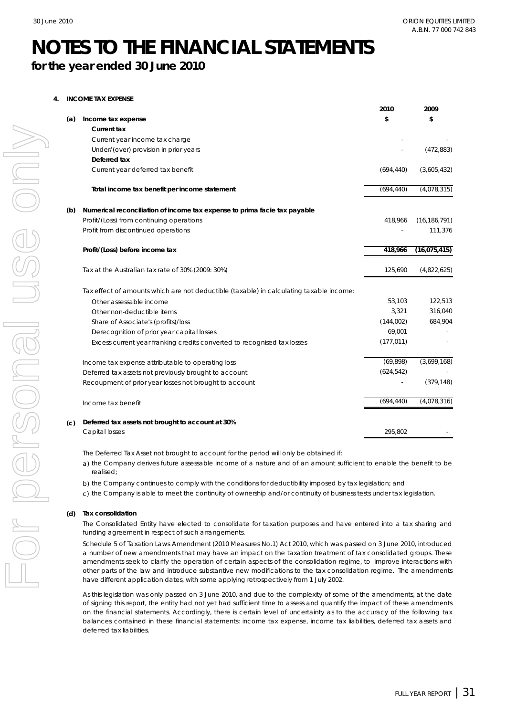**for the year ended 30 June 2010**

**4. INCOME TAX EXPENSE**

|     |                                                                                         | 2010       | 2009           |
|-----|-----------------------------------------------------------------------------------------|------------|----------------|
| (a) | Income tax expense                                                                      | \$         | \$             |
|     | <b>Current tax</b>                                                                      |            |                |
|     | Current year income tax charge                                                          |            |                |
|     | Under/(over) provision in prior years                                                   |            | (472, 883)     |
|     | Deferred tax                                                                            |            |                |
|     | Current year deferred tax benefit                                                       | (694, 440) | (3,605,432)    |
|     | Total income tax benefit per income statement                                           | (694, 440) | (4,078,315)    |
| (b) | Numerical reconciliation of income tax expense to prima facie tax payable               |            |                |
|     | Profit/(Loss) from continuing operations                                                | 418,966    | (16, 186, 791) |
|     | Profit from discontinued operations                                                     |            | 111,376        |
|     | Profit/(Loss) before income tax                                                         | 418,966    | (16,075,415)   |
|     | Tax at the Australian tax rate of 30% (2009: 30%)                                       | 125,690    | (4,822,625)    |
|     | Tax effect of amounts which are not deductible (taxable) in calculating taxable income: |            |                |
|     | Other assessable income                                                                 | 53,103     | 122,513        |
|     | Other non-deductible items                                                              | 3.321      | 316,040        |
|     | Share of Associate's (profits)/loss                                                     | (144,002)  | 684,904        |
|     | Derecognition of prior year capital losses                                              | 69,001     |                |
|     | Excess current year franking credits converted to recognised tax losses                 | (177, 011) |                |
|     | Income tax expense attributable to operating loss                                       | (69, 898)  | (3,699,168)    |
|     | Deferred tax assets not previously brought to account                                   | (624, 542) |                |
|     | Recoupment of prior year losses not brought to account                                  |            | (379, 148)     |
|     | Income tax benefit                                                                      | (694, 440) | (4,078,316)    |
| (c) | Deferred tax assets not brought to account at 30%                                       |            |                |
|     | Capital losses                                                                          | 295,802    |                |

The Deferred Tax Asset not brought to account for the period will only be obtained if:

a) the Company derives future assessable income of a nature and of an amount sufficient to enable the benefit to be realised;

b) the Company continues to comply with the conditions for deductibility imposed by tax legislation; and

c) the Company is able to meet the continuity of ownership and/or continuity of business tests under tax legislation.

### **(d) Tax consolidation**

The Consolidated Entity have elected to consolidate for taxation purposes and have entered into a tax sharing and funding agreement in respect of such arrangements.

Schedule 5 of Taxation Laws Amendment (2010 Measures No.1) Act 2010, which was passed on 3 June 2010, introduced a number of new amendments that may have an impact on the taxation treatment of tax consolidated groups. These amendments seek to clarify the operation of certain aspects of the consolidation regime, to improve interactions with other parts of the law and introduce substantive new modifications to the tax consolidation regime. The amendments have different application dates, with some applying retrospectively from 1 July 2002.

As this legislation was only passed on 3 June 2010, and due to the complexity of some of the amendments, at the date of signing this report, the entity had not yet had sufficient time to assess and quantify the impact of these amendments on the financial statements. Accordingly, there is certain level of uncertainty as to the accuracy of the following tax balances contained in these financial statements: income tax expense, income tax liabilities, deferred tax assets and deferred tax liabilities.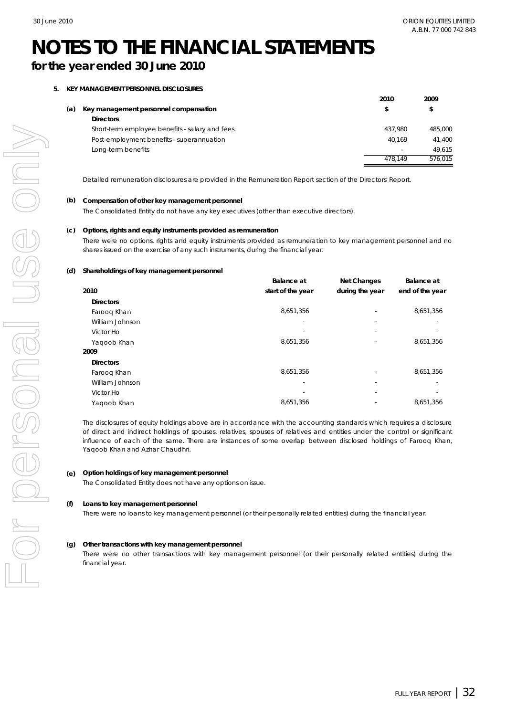# **for the year ended 30 June 2010**

### **5. KEY MANAGEMENT PERSONNEL DISCLOSURES**

|     |                                                | 2010    | 2009    |
|-----|------------------------------------------------|---------|---------|
| (a) | Key management personnel compensation          |         | \$      |
|     | <b>Directors</b>                               |         |         |
|     | Short-term employee benefits - salary and fees | 437.980 | 485,000 |
|     | Post-employment benefits - superannuation      | 40.169  | 41.400  |
|     | Long-term benefits                             | $\,$    | 49.615  |
|     |                                                | 478.149 | 576.015 |

Detailed remuneration disclosures are provided in the Remuneration Report section of the Directors' Report.

### **(b) Compensation of other key management personnel**

The Consolidated Entity do not have any key executives (other than executive directors).

### **(c) Options, rights and equity instruments provided as remuneration**

There were no options, rights and equity instruments provided as remuneration to key management personnel and no shares issued on the exercise of any such instruments, during the financial year.

### **(d) Shareholdings of key management personnel**

|                  | Balance at        | <b>Net Changes</b>       | <b>Balance</b> at |
|------------------|-------------------|--------------------------|-------------------|
| 2010             | start of the year | during the year          | end of the year   |
| <b>Directors</b> |                   |                          |                   |
| Faroog Khan      | 8,651,356         | ٠                        | 8,651,356         |
| William Johnson  | $\sim$            | $\overline{\phantom{a}}$ |                   |
| Victor Ho        |                   | $\overline{\phantom{a}}$ |                   |
| Yagoob Khan      | 8,651,356         | $\overline{\phantom{a}}$ | 8,651,356         |
| 2009             |                   |                          |                   |
| <b>Directors</b> |                   |                          |                   |
| Faroog Khan      | 8,651,356         | ٠                        | 8,651,356         |
| William Johnson  | $\sim$            | ٠                        |                   |
| Victor Ho        | $\sim$            | $\overline{\phantom{a}}$ | ۰                 |
| Yagoob Khan      | 8,651,356         |                          | 8,651,356         |

The disclosures of equity holdings above are in accordance with the accounting standards which requires a disclosure of direct and indirect holdings of spouses, relatives, spouses of relatives and entities under the control or significant influence of each of the same. There are instances of some overlap between disclosed holdings of Farooq Khan, Yaqoob Khan and Azhar Chaudhri.

## **(e) Option holdings of key management personnel**

The Consolidated Entity does not have any options on issue.

#### **(f) Loans to key management personnel**

There were no loans to key management personnel (or their personally related entities) during the financial year.

### **(g) Other transactions with key management personnel**

There were no other transactions with key management personnel (or their personally related entities) during the financial year.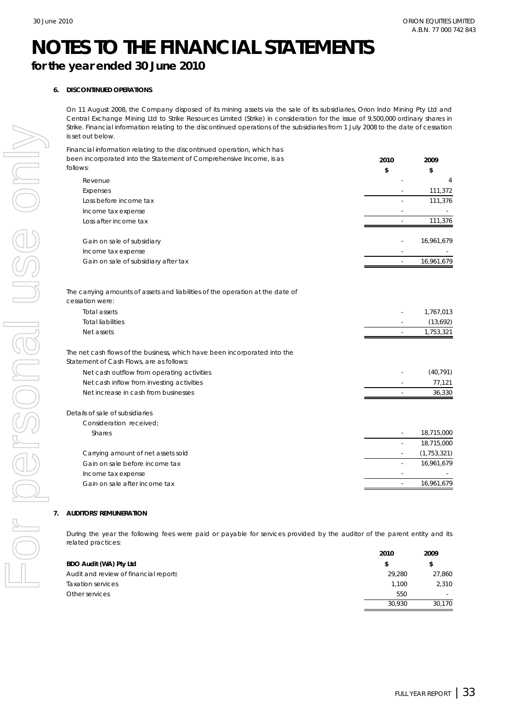**2010 2009**

# **NOTES TO THE FINANCIAL STATEMENTS for the year ended 30 June 2010**

### **6. DISCONTINUED OPERATIONS**

On 11 August 2008, the Company disposed of its mining assets via the sale of its subsidiaries, Orion Indo Mining Pty Ltd and Central Exchange Mining Ltd to Strike Resources Limited (Strike) in consideration for the issue of 9,500,000 ordinary shares in Strike. Financial information relating to the discontinued operations of the subsidiaries from 1 July 2008 to the date of cessation is set out below.

Financial information relating to the discontinued operation, which has been incorporated into the Statement of Comprehensive Income, is as fol

| OIIOWS:                              | \$     | \$         |
|--------------------------------------|--------|------------|
| Revenue                              |        | 4          |
| Expenses                             | $\sim$ | 111,372    |
| Loss before income tax               |        | 111,376    |
| Income tax expense                   |        |            |
| Loss after income tax                |        | 111,376    |
|                                      |        |            |
| Gain on sale of subsidiary           |        | 16,961,679 |
| Income tax expense                   |        |            |
| Gain on sale of subsidiary after tax |        | 16.961.679 |

The carrying amounts of assets and liabilities of the operation at the date of cessation were:

| Total assets                                                              |                | 1,767,013   |
|---------------------------------------------------------------------------|----------------|-------------|
| <b>Total liabilities</b>                                                  |                | (13,692)    |
| Net assets                                                                |                | 1,753,321   |
| The net cash flows of the business, which have been incorporated into the |                |             |
| Statement of Cash Flows, are as follows:                                  |                |             |
| Net cash outflow from operating activities                                |                | (40, 791)   |
| Net cash inflow from investing activities                                 |                | 77,121      |
| Net increase in cash from businesses                                      |                | 36,330      |
| Details of sale of subsidiaries                                           |                |             |
| Consideration received;                                                   |                |             |
| <b>Shares</b>                                                             | $\overline{a}$ | 18,715,000  |
|                                                                           |                | 18,715,000  |
| Carrying amount of net assets sold                                        |                | (1,753,321) |
| Gain on sale before income tax                                            |                | 16,961,679  |
| Income tax expense                                                        |                |             |
| Gain on sale after income tax                                             |                | 16,961,679  |

### **7. AUDITORS' REMUNERATION**

During the year the following fees were paid or payable for services provided by the auditor of the parent entity and its related practices:

|                                       | 2010   | 2009   |
|---------------------------------------|--------|--------|
| BDO Audit (WA) Pty Ltd                |        |        |
| Audit and review of financial reports | 29.280 | 27.860 |
| <b>Taxation services</b>              | 1.100  | 2,310  |
| Other services                        | 550    |        |
|                                       | 30.930 | 30.170 |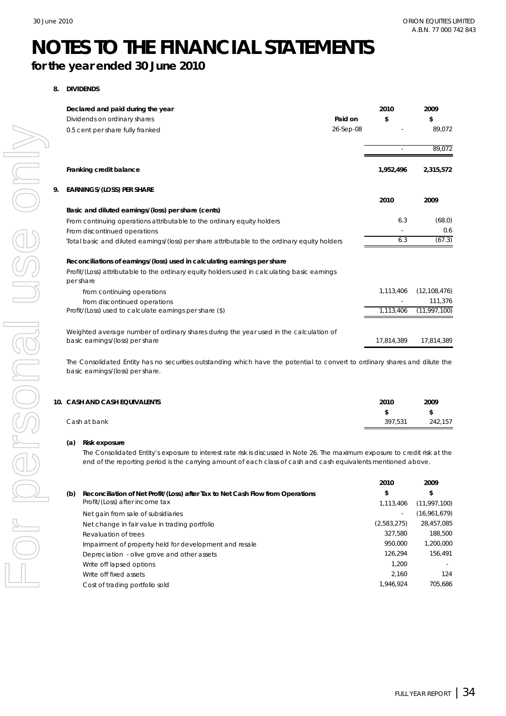**for the year ended 30 June 2010**

**8. DIVIDENDS**

|    | Declared and paid during the year<br>Dividends on ordinary shares<br>0.5 cent per share fully franked                    | Paid on<br>26-Sep-08 | 2010<br>\$ | 2009<br>\$<br>89,072 |
|----|--------------------------------------------------------------------------------------------------------------------------|----------------------|------------|----------------------|
|    |                                                                                                                          |                      |            | 89,072               |
|    | Franking credit balance                                                                                                  |                      | 1,952,496  | 2,315,572            |
| 9. | <b>EARNINGS/(LOSS) PER SHARE</b>                                                                                         |                      |            |                      |
|    |                                                                                                                          |                      | 2010       | 2009                 |
|    | Basic and diluted earnings/(loss) per share (cents)                                                                      |                      |            |                      |
|    | From continuing operations attributable to the ordinary equity holders                                                   |                      | 6.3        | (68.0)               |
|    | From discontinued operations                                                                                             |                      |            | 0.6                  |
|    | Total basic and diluted earnings/(loss) per share attributable to the ordinary equity holders                            |                      | 6.3        | (67.3)               |
|    | Reconciliations of earnings/(loss) used in calculating earnings per share                                                |                      |            |                      |
|    | Profit/(Loss) attributable to the ordinary equity holders used in calculating basic earnings<br>per share                |                      |            |                      |
|    | from continuing operations                                                                                               |                      | 1,113,406  | (12, 108, 476)       |
|    | from discontinued operations                                                                                             |                      |            | 111,376              |
|    | Profit/(Loss) used to calculate earnings per share (\$)                                                                  |                      | 1,113,406  | (11, 997, 100)       |
|    | Weighted average number of ordinary shares during the year used in the calculation of<br>basic earnings/(loss) per share |                      | 17,814,389 | 17,814,389           |
|    |                                                                                                                          |                      |            |                      |

The Consolidated Entity has no securities outstanding which have the potential to convert to ordinary shares and dilute the basic earnings/(loss) per share.

| 10. CASH AND CASH EQUIVALENTS |  |
|-------------------------------|--|
|-------------------------------|--|

Cash at bank

### **(a) Risk exposure**

The Consolidated Entity's exposure to interest rate risk is discussed in Note 26. The maximum exposure to credit risk at the end of the reporting period is the carrying amount of each class of cash and cash equivalents mentioned above.

|     |                                                                                                                  | 2010        | 2009           |
|-----|------------------------------------------------------------------------------------------------------------------|-------------|----------------|
| (b) | Reconciliation of Net Profit/(Loss) after Tax to Net Cash Flow from Operations<br>Profit/(Loss) after income tax | \$          | \$             |
|     |                                                                                                                  | 1.113.406   | (11, 997, 100) |
|     | Net gain from sale of subsidiaries                                                                               |             | (16,961,679)   |
|     | Net change in fair value in trading portfolio                                                                    | (2,583,275) | 28,457,085     |
|     | Revaluation of trees                                                                                             | 327.580     | 188,500        |
|     | Impairment of property held for development and resale                                                           | 950.000     | 1.200.000      |
|     | Depreciation - olive grove and other assets                                                                      | 126.294     | 156.491        |
|     | Write off lapsed options                                                                                         | 1.200       |                |
|     | Write off fixed assets                                                                                           | 2.160       | 124            |
|     | Cost of trading portfolio sold                                                                                   | 1.946.924   | 705.686        |

**2010 2009 \$ \$** 397,531 242,157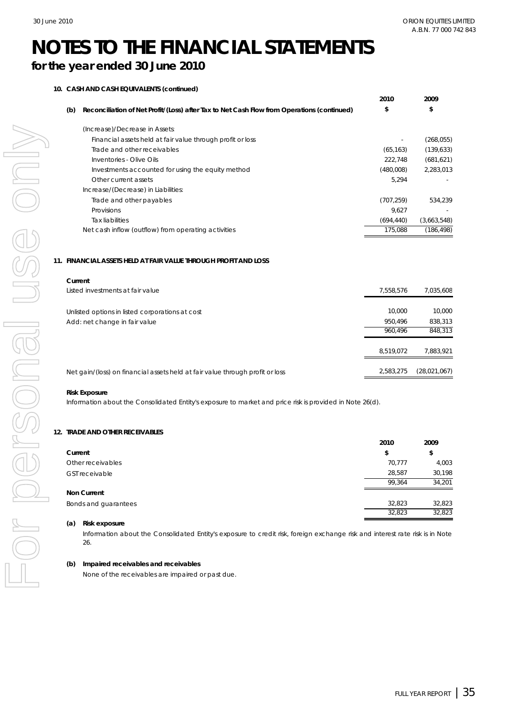# **for the year ended 30 June 2010**

|     | 10. CASH AND CASH EQUIVALENTS (continued)                                                  | 2010       | 2009        |
|-----|--------------------------------------------------------------------------------------------|------------|-------------|
| (b) | Reconciliation of Net Profit/(Loss) after Tax to Net Cash Flow from Operations (continued) | \$         | \$          |
|     | (Increase)/Decrease in Assets:                                                             |            |             |
|     | Financial assets held at fair value through profit or loss                                 |            | (268, 055)  |
|     | Trade and other receivables                                                                | (65, 163)  | (139, 633)  |
|     | Inventories - Olive Oils                                                                   | 222,748    | (681, 621)  |
|     | Investments accounted for using the equity method                                          | (480,008)  | 2,283,013   |
|     | Other current assets                                                                       | 5,294      |             |
|     | Increase/(Decrease) in Liabilities:                                                        |            |             |
|     | Trade and other payables                                                                   | (707, 259) | 534,239     |
|     | Provisions                                                                                 | 9,627      |             |
|     | <b>Tax liabilities</b>                                                                     | (694, 440) | (3,663,548) |
|     | Net cash inflow (outflow) from operating activities                                        | 175,088    | (186,498)   |

## **11. FINANCIAL ASSETS HELD AT FAIR VALUE THROUGH PROFIT AND LOSS**

| Current<br>Listed investments at fair value                                   | 7.558.576 | 7,035,608    |
|-------------------------------------------------------------------------------|-----------|--------------|
|                                                                               |           |              |
| Unlisted options in listed corporations at cost                               | 10.000    | 10.000       |
| Add: net change in fair value                                                 | 950.496   | 838,313      |
|                                                                               | 960.496   | 848,313      |
|                                                                               | 8.519.072 | 7.883.921    |
| Net gain/(loss) on financial assets held at fair value through profit or loss | 2,583,275 | (28,021,067) |

### **Risk Exposure**

Information about the Consolidated Entity's exposure to market and price risk is provided in Note 26(d).

### **12. TRADE AND OTHER RECEIVABLES**

|                       | 2010   | 2009   |
|-----------------------|--------|--------|
| Current               | \$     | \$     |
| Other receivables     | 70,777 | 4,003  |
| <b>GST receivable</b> | 28.587 | 30,198 |
|                       | 99.364 | 34,201 |
| Non Current           |        |        |
| Bonds and guarantees  | 32,823 | 32,823 |
|                       | 32,823 | 32,823 |

### **(a) Risk exposure**

Information about the Consolidated Entity's exposure to credit risk, foreign exchange risk and interest rate risk is in Note 26.

### **(b) Impaired receivables and receivables**

None of the receivables are impaired or past due.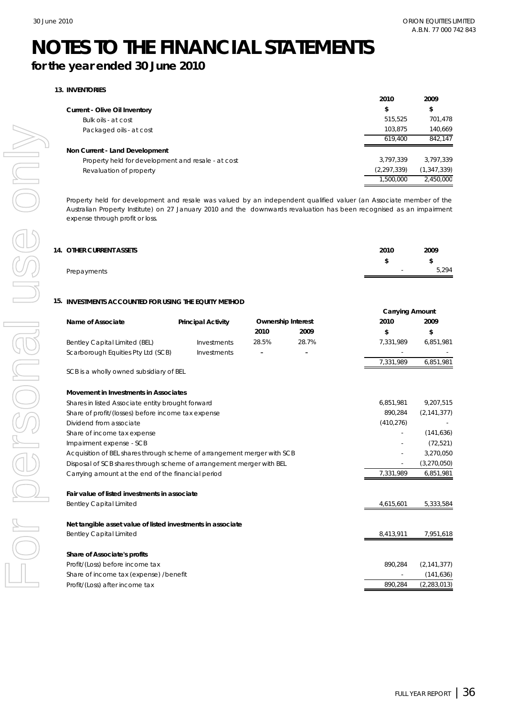**Carrying Amount**

# **NOTES TO THE FINANCIAL STATEMENTS**

**for the year ended 30 June 2010**

## **13. INVENTORIES**

|                                                    | 2010          | 2009          |
|----------------------------------------------------|---------------|---------------|
| Current - Olive Oil Inventory                      | \$            | \$            |
| Bulk oils - at cost                                | 515.525       | 701.478       |
| Packaged oils - at cost                            | 103.875       | 140.669       |
|                                                    | 619.400       | 842.147       |
| Non Current - Land Development                     |               |               |
| Property held for development and resale - at cost | 3.797.339     | 3.797.339     |
| Revaluation of property                            | (2, 297, 339) | (1, 347, 339) |
|                                                    | 1.500.000     | 2.450.000     |

Property held for development and resale was valued by an independent qualified valuer (an Associate member of the Australian Property Institute) on 27 January 2010 and the downwards revaluation has been recognised as an impairment expense through profit or loss.

| 14. OTHER CURRENT ASSETS | 2010 | 2009  |
|--------------------------|------|-------|
| Prepayments              |      | 5,294 |

## **15. INVESTMENTS ACCOUNTED FOR USING THE EQUITY METHOD**

| Name of Associate                                                       | <b>Ownership Interest</b><br><b>Principal Activity</b> |       | 2010  | 2009       |               |
|-------------------------------------------------------------------------|--------------------------------------------------------|-------|-------|------------|---------------|
|                                                                         |                                                        | 2010  | 2009  | \$         | \$            |
| Bentley Capital Limited (BEL)                                           | Investments                                            | 28.5% | 28.7% | 7,331,989  | 6,851,981     |
| Scarborough Equities Pty Ltd (SCB)                                      | Investments                                            |       |       |            |               |
|                                                                         |                                                        |       |       | 7,331,989  | 6,851,981     |
| SCB is a wholly owned subsidiary of BEL                                 |                                                        |       |       |            |               |
| Movement in Investments in Associates                                   |                                                        |       |       |            |               |
| Shares in listed Associate entity brought forward                       |                                                        |       |       | 6,851,981  | 9,207,515     |
| Share of profit/(losses) before income tax expense                      |                                                        |       |       | 890,284    | (2, 141, 377) |
| Dividend from associate                                                 |                                                        |       |       | (410, 276) |               |
| Share of income tax expense                                             |                                                        |       |       |            | (141, 636)    |
| Impairment expense - SCB                                                |                                                        |       |       |            | (72, 521)     |
| Acquisition of BEL shares through scheme of arrangement merger with SCB |                                                        |       |       |            | 3,270,050     |
| Disposal of SCB shares through scheme of arrangement merger with BEL    |                                                        |       |       |            | (3,270,050)   |
| Carrying amount at the end of the financial period                      |                                                        |       |       | 7,331,989  | 6,851,981     |
| Fair value of listed investments in associate                           |                                                        |       |       |            |               |
| <b>Bentley Capital Limited</b>                                          |                                                        |       |       | 4,615,601  | 5,333,584     |
| Net tangible asset value of listed investments in associate             |                                                        |       |       |            |               |
| <b>Bentley Capital Limited</b>                                          |                                                        |       |       | 8,413,911  | 7,951,618     |
| Share of Associate's profits                                            |                                                        |       |       |            |               |
| Profit/(Loss) before income tax                                         |                                                        |       |       | 890,284    | (2, 141, 377) |
| Share of income tax (expense) /benefit                                  |                                                        |       |       |            | (141, 636)    |
| Profit/(Loss) after income tax                                          |                                                        |       |       | 890,284    | (2, 283, 013) |
|                                                                         |                                                        |       |       |            |               |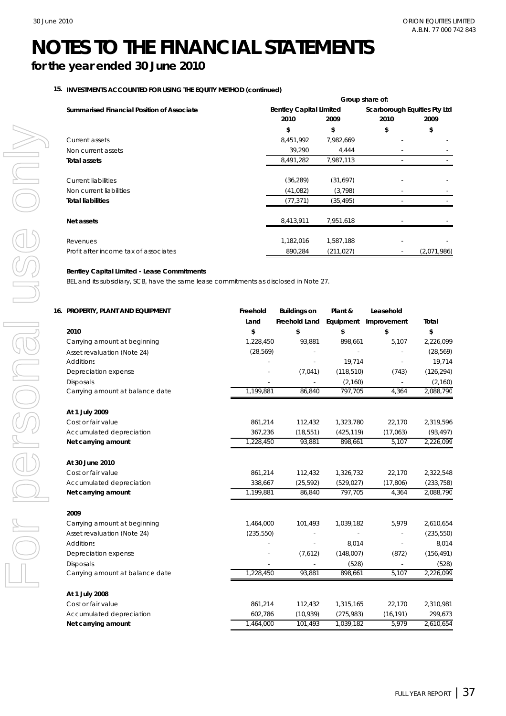# **for the year ended 30 June 2010**

### **15. INVESTMENTS ACCOUNTED FOR USING THE EQUITY METHOD (continued)**

|                                            |                                | Group share of: |                              |             |  |
|--------------------------------------------|--------------------------------|-----------------|------------------------------|-------------|--|
| Summarised Financial Position of Associate | <b>Bentley Capital Limited</b> |                 | Scarborough Equities Pty Ltd |             |  |
|                                            | 2010                           | 2009            | 2010                         | 2009        |  |
|                                            | \$                             | \$              | \$                           | \$          |  |
| Current assets                             | 8,451,992                      | 7,982,669       |                              |             |  |
| Non current assets                         | 39,290                         | 4,444           |                              |             |  |
| <b>Total assets</b>                        | 8,491,282                      | 7,987,113       |                              |             |  |
| <b>Current liabilities</b>                 | (36, 289)                      | (31,697)        |                              |             |  |
| Non current liabilities                    | (41,082)                       | (3,798)         |                              |             |  |
| <b>Total liabilities</b>                   | (77, 371)                      | (35, 495)       |                              |             |  |
| Net assets                                 | 8,413,911                      | 7,951,618       |                              |             |  |
| Revenues                                   | 1,182,016                      | 1,587,188       |                              |             |  |
| Profit after income tax of associates      | 890,284                        | (211, 027)      |                              | (2,071,986) |  |

### **Bentley Capital Limited - Lease Commitments**

BEL and its subsidiary, SCB, have the same lease commitments as disclosed in Note 27.

| 16. PROPERTY, PLANT AND EQUIPMENT | Freehold   | <b>Buildings on</b> | Plant &    | Leasehold             |            |
|-----------------------------------|------------|---------------------|------------|-----------------------|------------|
|                                   | Land       | Freehold Land       |            | Equipment Improvement | Total      |
| 2010                              | \$         | \$                  | \$         | \$                    | \$         |
| Carrying amount at beginning      | 1,228,450  | 93,881              | 898,661    | 5,107                 | 2,226,099  |
| Asset revaluation (Note 24)       | (28, 569)  |                     |            |                       | (28, 569)  |
| <b>Additions</b>                  |            |                     | 19,714     |                       | 19,714     |
| Depreciation expense              |            | (7,041)             | (118, 510) | (743)                 | (126, 294) |
| <b>Disposals</b>                  |            |                     | (2,160)    |                       | (2, 160)   |
| Carrying amount at balance date   | 1,199,881  | 86,840              | 797,705    | 4,364                 | 2,088,790  |
| At 1 July 2009                    |            |                     |            |                       |            |
| Cost or fair value                | 861,214    | 112,432             | 1,323,780  | 22,170                | 2,319,596  |
| Accumulated depreciation          | 367,236    | (18, 551)           | (425, 119) | (17,063)              | (93, 497)  |
| Net carrying amount               | 1,228,450  | 93,881              | 898,661    | 5,107                 | 2,226,099  |
| At 30 June 2010                   |            |                     |            |                       |            |
| Cost or fair value                | 861,214    | 112,432             | 1,326,732  | 22,170                | 2,322,548  |
| Accumulated depreciation          | 338,667    | (25, 592)           | (529, 027) | (17, 806)             | (233, 758) |
| Net carrying amount               | 1,199,881  | 86,840              | 797,705    | 4,364                 | 2,088,790  |
| 2009                              |            |                     |            |                       |            |
| Carrying amount at beginning      | 1,464,000  | 101,493             | 1,039,182  | 5,979                 | 2,610,654  |
| Asset revaluation (Note 24)       | (235, 550) |                     |            |                       | (235, 550) |
| <b>Additions</b>                  |            |                     | 8,014      |                       | 8,014      |
| Depreciation expense              |            | (7,612)             | (148,007)  | (872)                 | (156, 491) |
| <b>Disposals</b>                  |            |                     | (528)      |                       | (528)      |
| Carrying amount at balance date   | 1,228,450  | 93,881              | 898,661    | 5,107                 | 2,226,099  |
| At 1 July 2008                    |            |                     |            |                       |            |
| Cost or fair value                | 861,214    | 112,432             | 1,315,165  | 22,170                | 2,310,981  |
| Accumulated depreciation          | 602,786    | (10, 939)           | (275, 983) | (16, 191)             | 299,673    |
| Net carrying amount               | 1,464,000  | 101,493             | 1,039,182  | 5,979                 | 2,610,654  |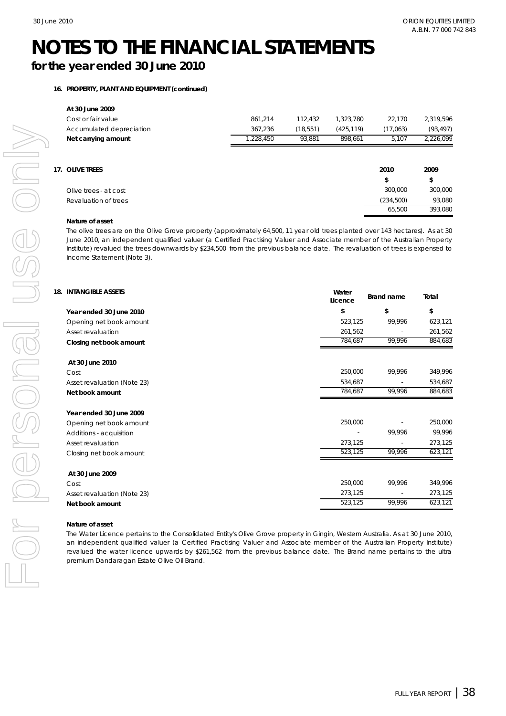**17. OLIVE TREES**

# **NOTES TO THE FINANCIAL STATEMENTS**

# **for the year ended 30 June 2010**

## **16. PROPERTY, PLANT AND EQUIPMENT (continued)**

| At 30 June 2009          |           |           |            |            |           |
|--------------------------|-----------|-----------|------------|------------|-----------|
| Cost or fair value       | 861,214   | 112.432   | 1,323,780  | 22.170     | 2,319,596 |
| Accumulated depreciation | 367,236   | (18, 551) | (425, 119) | (17,063)   | (93, 497) |
| Net carrying amount      | 1,228,450 | 93.881    | 898.661    | 5.107      | 2,226,099 |
| . OLIVE TREES            |           |           |            | 2010       | 2009      |
|                          |           |           |            | \$         | \$        |
|                          |           |           |            |            |           |
| Olive trees - at cost    |           |           |            | 300.000    | 300,000   |
| Revaluation of trees     |           |           |            | (234, 500) | 93,080    |

### **Nature of asset**

The olive trees are on the Olive Grove property (approximately 64,500, 11 year old trees planted over 143 hectares). As at 30 June 2010, an independent qualified valuer (a Certified Practising Valuer and Associate member of the Australian Property Institute) revalued the trees downwards by \$234,500 from the previous balance date. The revaluation of trees is expensed to Income Statement (Note 3).

#### **18. INTANGIBLE ASSETS Year ended 30 June 2010** Opening net book amount Asset revaluation **Closing net book amount At 30 June 2010** Cost Asset revaluation (Note 23) **Net book amount Year ended 30 June 2009** Opening net book amount Additions - acquisition Asset revaluation Closing net book amount  **At 30 June 2009** Cost Asset revaluation (Note 23) **Net book amount** 250,000 99,996 349,996 534,687 250,000 - 250,000 273,125 - 273,125 250,000 **\$\$\$ Water Licence Brand name Total** 523,125 99,996 623,121 261,562 - 261,562 784,687 99,996 884,683 534,687 784,687 99,996 884,683 99,996 99,996 523,125 99,996 623,121 99,996 349,996 273,125 523,125 99,996 623,121 273,125

### **Nature of asset**

The Water Licence pertains to the Consolidated Entity's Olive Grove property in Gingin, Western Australia. As at 30 June 2010, an independent qualified valuer (a Certified Practising Valuer and Associate member of the Australian Property Institute) revalued the water licence upwards by \$261,562 from the previous balance date. The Brand name pertains to the ultra premium Dandaragan Estate Olive Oil Brand.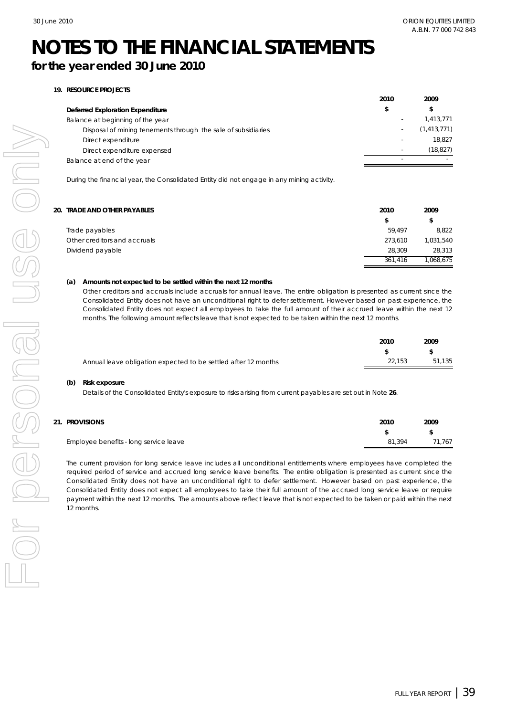**for the year ended 30 June 2010**

### **19. RESOURCE PROJECTS**

|                                                               | 2010 | 2009          |
|---------------------------------------------------------------|------|---------------|
| Deferred Exploration Expenditure                              | \$   |               |
| Balance at beginning of the year                              |      | 1,413,771     |
| Disposal of mining tenements through the sale of subsidiaries |      | (1, 413, 771) |
| Direct expenditure                                            |      | 18.827        |
| Direct expenditure expensed                                   |      | (18, 827)     |
| Balance at end of the year                                    |      |               |

During the financial year, the Consolidated Entity did not engage in any mining activity.

| 20. TRADE AND OTHER PAYABLES | 2010    | 2009      |
|------------------------------|---------|-----------|
|                              | S       |           |
| Trade payables               | 59.497  | 8.822     |
| Other creditors and accruals | 273.610 | 1,031,540 |
| Dividend payable             | 28.309  | 28.313    |
|                              | 361.416 | 068.675   |
|                              |         |           |

### **(a) Amounts not expected to be settled within the next 12 months**

Other creditors and accruals include accruals for annual leave. The entire obligation is presented as current since the Consolidated Entity does not have an unconditional right to defer settlement. However based on past experience, the Consolidated Entity does not expect all employees to take the full amount of their accrued leave within the next 12 months. The following amount reflects leave that is not expected to be taken within the next 12 months.

|                                                                | 2010         | 2009          |
|----------------------------------------------------------------|--------------|---------------|
|                                                                | $\mathbf{s}$ | $\sim$ $\sim$ |
| Annual leave obligation expected to be settled after 12 months | 22.153       | 51.135        |

### **(b) Risk exposure**

Details of the Consolidated Entity's exposure to risks arising from current payables are set out in Note **26**.

| 21. PROVISIONS                         | 2010   | 2009   |
|----------------------------------------|--------|--------|
|                                        |        |        |
| Employee benefits - long service leave | 81.394 | 71.767 |

The current provision for long service leave includes all unconditional entitlements where employees have completed the required period of service and accrued long service leave benefits. The entire obligation is presented as current since the Consolidated Entity does not have an unconditional right to defer settlement. However based on past experience, the Consolidated Entity does not expect all employees to take their full amount of the accrued long service leave or require payment within the next 12 months. The amounts above reflect leave that is not expected to be taken or paid within the next 12 months.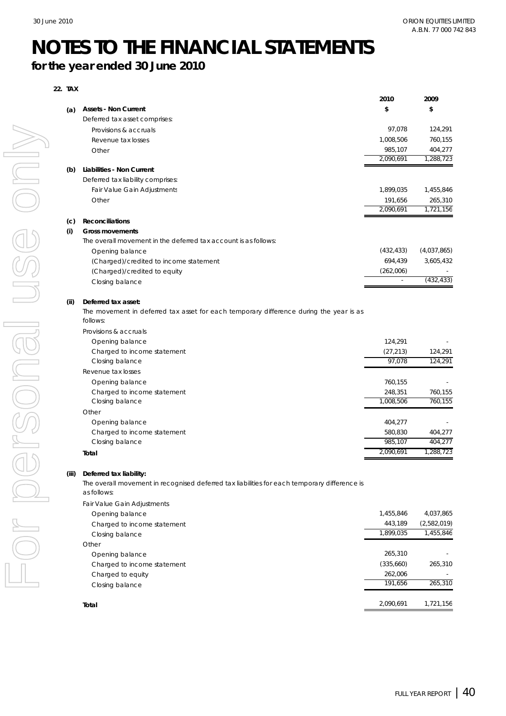**for the year ended 30 June 2010**

| 22. TAX |                                                                                                             |                          |             |
|---------|-------------------------------------------------------------------------------------------------------------|--------------------------|-------------|
|         |                                                                                                             | 2010                     | 2009        |
| (a)     | <b>Assets - Non Current</b>                                                                                 | \$                       | \$          |
|         | Deferred tax asset comprises:                                                                               |                          |             |
|         | Provisions & accruals                                                                                       | 97,078                   | 124,291     |
|         | Revenue tax losses                                                                                          | 1,008,506                | 760,155     |
|         | Other                                                                                                       | 985,107                  | 404,277     |
|         |                                                                                                             | 2,090,691                | 1,288,723   |
| (b)     | Liabilities - Non Current                                                                                   |                          |             |
|         | Deferred tax liability comprises:                                                                           |                          |             |
|         | Fair Value Gain Adjustments                                                                                 | 1,899,035                | 1,455,846   |
|         | Other                                                                                                       | 191,656                  | 265,310     |
|         |                                                                                                             | 2,090,691                | 1,721,156   |
| (c)     | <b>Reconciliations</b>                                                                                      |                          |             |
| (i)     | <b>Gross movements</b>                                                                                      |                          |             |
|         | The overall movement in the deferred tax account is as follows:                                             |                          |             |
|         | Opening balance                                                                                             | (432, 433)               | (4,037,865) |
|         | (Charged)/credited to income statement                                                                      | 694,439                  | 3,605,432   |
|         | (Charged)/credited to equity                                                                                | (262,006)                |             |
|         | Closing balance                                                                                             | $\overline{\phantom{a}}$ | (432, 433)  |
| (i)     | Deferred tax asset:                                                                                         |                          |             |
|         | The movement in deferred tax asset for each temporary difference during the year is as                      |                          |             |
|         | follows:                                                                                                    |                          |             |
|         | Provisions & accruals                                                                                       |                          |             |
|         | Opening balance                                                                                             | 124,291                  |             |
|         | Charged to income statement                                                                                 | (27, 213)                | 124,291     |
|         | Closing balance                                                                                             | 97,078                   | 124,291     |
|         | Revenue tax losses                                                                                          |                          |             |
|         | Opening balance                                                                                             | 760,155                  |             |
|         | Charged to income statement                                                                                 | 248,351                  | 760,155     |
|         | Closing balance                                                                                             | 1,008,506                | 760,155     |
|         | Other                                                                                                       |                          |             |
|         | Opening balance                                                                                             | 404,277                  |             |
|         | Charged to income statement                                                                                 | 580,830                  | 404,277     |
|         | Closing balance                                                                                             | 985,107                  | 404,277     |
|         | Total                                                                                                       | 2,090,691                | 1,288,723   |
|         |                                                                                                             |                          |             |
| (iii)   | Deferred tax liability:                                                                                     |                          |             |
|         | The overall movement in recognised deferred tax liabilities for each temporary difference is<br>as follows: |                          |             |
|         |                                                                                                             |                          |             |
|         | Fair Value Gain Adjustments                                                                                 |                          |             |
|         | Opening balance                                                                                             | 1,455,846                | 4,037,865   |
|         | Charged to income statement                                                                                 | 443,189                  | (2,582,019) |
|         | Closing balance                                                                                             | 1,899,035                | 1,455,846   |
|         | Other                                                                                                       |                          |             |
|         | Opening balance                                                                                             | 265,310                  |             |
|         | Charged to income statement                                                                                 | (335,660)                | 265,310     |
|         | Charged to equity                                                                                           | 262,006                  |             |
|         | Closing balance                                                                                             | 191,656                  | 265,310     |
|         | Total                                                                                                       | 2,090,691                | 1,721,156   |
|         |                                                                                                             |                          |             |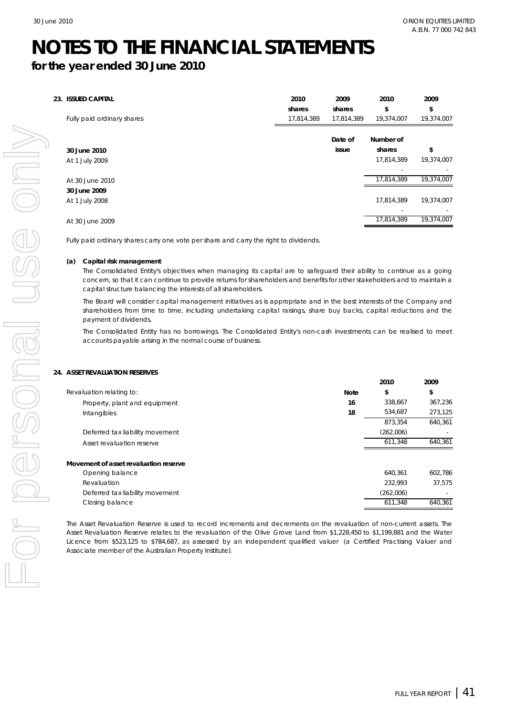# **for the year ended 30 June 2010**

| 23. ISSUED CAPITAL         | 2010       | 2009       | 2010       | 2009       |
|----------------------------|------------|------------|------------|------------|
|                            | shares     | shares     | \$         | \$         |
| Fully paid ordinary shares | 17,814,389 | 17.814.389 | 19,374,007 | 19,374,007 |
|                            |            | Date of    | Number of  |            |
| 30 June 2010               |            | issue      | shares     | \$         |
| At 1 July 2009             |            |            | 17,814,389 | 19,374,007 |
|                            |            |            |            |            |
| At 30 June 2010            |            |            | 17,814,389 | 19,374,007 |
| 30 June 2009               |            |            |            |            |
| At 1 July 2008             |            |            | 17,814,389 | 19,374,007 |
|                            |            |            |            |            |
| At 30 June 2009            |            |            | 17,814,389 | 19,374,007 |

Fully paid ordinary shares carry one vote per share and carry the right to dividends.

### **(a) Capital risk management**

The Consolidated Entity's objectives when managing its capital are to safeguard their ability to continue as a going concern, so that it can continue to provide returns for shareholders and benefits for other stakeholders and to maintain a capital structure balancing the interests of all shareholders.

The Board will consider capital management initiatives as is appropriate and in the best interests of the Company and shareholders from time to time, including undertaking capital raisings, share buy backs, capital reductions and the payment of dividends.

The Consolidated Entity has no borrowings. The Consolidated Entity's non-cash investments can be realised to meet accounts payable arising in the normal course of business.

### **24. ASSET REVALUATION RESERVES**

|                                       |      | 2010      | 2009    |
|---------------------------------------|------|-----------|---------|
| Revaluation relating to:              | Note | \$        | \$      |
| Property, plant and equipment         | 16   | 338.667   | 367.236 |
| Intangibles                           | 18   | 534,687   | 273.125 |
|                                       |      | 873,354   | 640,361 |
| Deferred tax liability movement       |      | (262,006) |         |
| Asset revaluation reserve             |      | 611.348   | 640.361 |
| Movement of asset revaluation reserve |      |           |         |
| Opening balance                       |      | 640.361   | 602.786 |
| Revaluation                           |      | 232,993   | 37.575  |
| Deferred tax liability movement       |      | (262,006) |         |
| Closing balance                       |      | 611.348   | 640.361 |

The Asset Revaluation Reserve is used to record increments and decrements on the revaluation of non-current assets. The Asset Revaluation Reserve relates to the revaluation of the Olive Grove Land from \$1,228,450 to \$1,199,881 and the Water Licence from \$523,125 to \$784,687, as assessed by an independent qualified valuer (a Certified Practising Valuer and Associate member of the Australian Property Institute).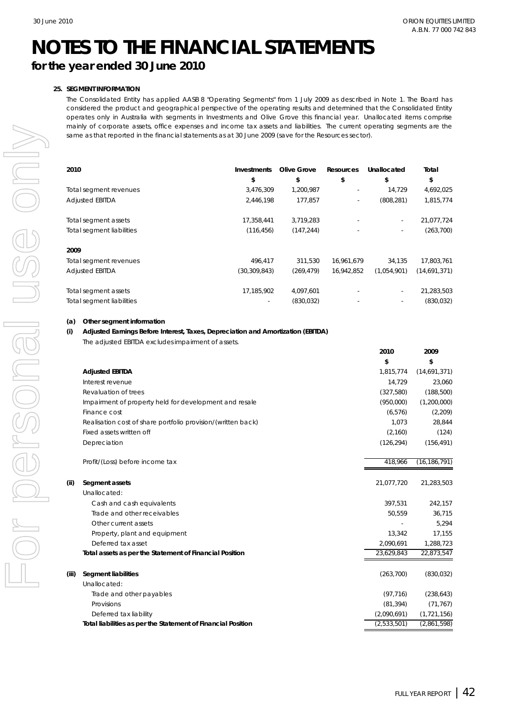**for the year ended 30 June 2010**

## **25. SEGMENT INFORMATION**

The Consolidated Entity has applied AASB 8 "Operating Segments" from 1 July 2009 as described in Note 1. The Board has considered the product and geographical perspective of the operating results and determined that the Consolidated Entity operates only in Australia with segments in Investments and Olive Grove this financial year. Unallocated items comprise mainly of corporate assets, office expenses and income tax assets and liabilities. The current operating segments are the same as that reported in the financial statements as at 30 June 2009 (save for the Resources sector).

| 2010                             | Investments<br>\$ | Olive Grove<br>\$ | Resources<br>\$ | Unallocated<br>\$        | Total<br>\$  |
|----------------------------------|-------------------|-------------------|-----------------|--------------------------|--------------|
| Total segment revenues           | 3,476,309         | 1,200,987         | ٠               | 14.729                   | 4,692,025    |
| <b>Adjusted EBITDA</b>           | 2,446,198         | 177.857           | ٠               | (808, 281)               | 1,815,774    |
| Total segment assets             | 17,358,441        | 3,719,283         | ۰               | $\overline{\phantom{a}}$ | 21,077,724   |
| <b>Total segment liabilities</b> | (116, 456)        | (147, 244)        |                 | $\overline{\phantom{a}}$ | (263, 700)   |
| 2009                             |                   |                   |                 |                          |              |
| Total segment revenues           | 496.417           | 311,530           | 16,961,679      | 34,135                   | 17,803,761   |
| <b>Adjusted EBITDA</b>           | (30, 309, 843)    | (269, 479)        | 16,942,852      | (1,054,901)              | (14,691,371) |
| Total segment assets             | 17,185,902        | 4,097,601         |                 | $\overline{\phantom{a}}$ | 21,283,503   |
| <b>Total segment liabilities</b> |                   | (830,032)         |                 |                          | (830, 032)   |

### **(a) Other segment information**

## **(i) Adjusted Earnings Before Interest, Taxes, Depreciation and Amortization (EBITDA)**

The adjusted EBITDA excludes impairment of assets.

|       |                                                              | 2010        | 2009           |
|-------|--------------------------------------------------------------|-------------|----------------|
|       |                                                              | \$          | \$             |
|       | <b>Adjusted EBITDA</b>                                       | 1,815,774   | (14,691,371)   |
|       | Interest revenue                                             | 14,729      | 23,060         |
|       | Revaluation of trees                                         | (327,580)   | (188, 500)     |
|       | Impairment of property held for development and resale       | (950,000)   | (1,200,000)    |
|       | Finance cost                                                 | (6, 576)    | (2,209)        |
|       | Realisation cost of share portfolio provision/(written back) | 1,073       | 28,844         |
|       | Fixed assets written off                                     | (2,160)     | (124)          |
|       | Depreciation                                                 | (126, 294)  | (156, 491)     |
|       | Profit/(Loss) before income tax                              | 418,966     | (16, 186, 791) |
| (i)   | Segment assets                                               | 21,077,720  | 21,283,503     |
|       | Unallocated:                                                 |             |                |
|       | Cash and cash equivalents                                    | 397,531     | 242,157        |
|       | Trade and other receivables                                  | 50.559      | 36,715         |
|       | Other current assets                                         |             | 5,294          |
|       | Property, plant and equipment                                | 13,342      | 17,155         |
|       | Deferred tax asset                                           | 2,090,691   | 1,288,723      |
|       | Total assets as per the Statement of Financial Position      | 23,629,843  | 22,873,547     |
| (iii) | <b>Segment liabilities</b>                                   | (263, 700)  | (830,032)      |
|       | Unallocated:                                                 |             |                |
|       | Trade and other payables                                     | (97, 716)   | (238, 643)     |
|       | Provisions                                                   | (81, 394)   | (71, 767)      |
|       | Deferred tax liability                                       | (2,090,691) | (1, 721, 156)  |
|       | Total liabilities as per the Statement of Financial Position | (2,533,501) | (2,861,598)    |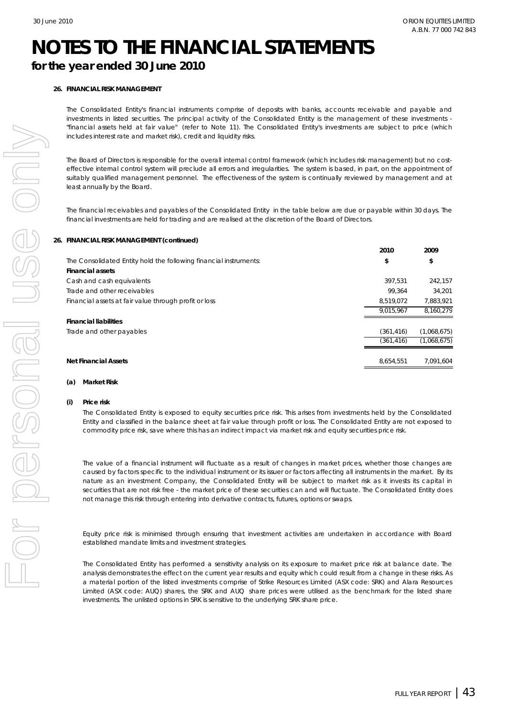### **26. FINANCIAL RISK MANAGEMENT**

The Consolidated Entity's financial instruments comprise of deposits with banks, accounts receivable and payable and investments in listed securities. The principal activity of the Consolidated Entity is the management of these investments - "financial assets held at fair value" (refer to Note 11). The Consolidated Entity's investments are subject to price (which includes interest rate and market risk), credit and liquidity risks.

The Board of Directors is responsible for the overall internal control framework (which includes risk management) but no costeffective internal control system will preclude all errors and irregularities. The system is based, in part, on the appointment of suitably qualified management personnel. The effectiveness of the system is continually reviewed by management and at least annually by the Board.

The financial receivables and payables of the Consolidated Entity in the table below are due or payable within 30 days. The financial investments are held for trading and are realised at the discretion of the Board of Directors.

# **26. FINANCIAL RISK MANAGEMENT (continued)**

|                                                                   | 2010       | 2009        |
|-------------------------------------------------------------------|------------|-------------|
| The Consolidated Entity hold the following financial instruments: | \$         | \$          |
| <b>Financial assets</b>                                           |            |             |
| Cash and cash equivalents                                         | 397.531    | 242,157     |
| Trade and other receivables                                       | 99.364     | 34.201      |
| Financial assets at fair value through profit or loss             | 8,519,072  | 7,883,921   |
|                                                                   | 9.015.967  | 8.160.279   |
| <b>Financial liabilities</b>                                      |            |             |
| Trade and other payables                                          | (361, 416) | (1,068,675) |
|                                                                   | (361.416)  | (1,068,675) |
| <b>Net Financial Assets</b>                                       | 8.654.551  | 7.091.604   |
|                                                                   |            |             |

#### **(a) Market Risk**

#### **(i) Price risk**

The Consolidated Entity is exposed to equity securities price risk. This arises from investments held by the Consolidated Entity and classified in the balance sheet at fair value through profit or loss. The Consolidated Entity are not exposed to commodity price risk, save where this has an indirect impact via market risk and equity securities price risk.

The value of a financial instrument will fluctuate as a result of changes in market prices, whether those changes are caused by factors specific to the individual instrument or its issuer or factors affecting all instruments in the market. By its nature as an investment Company, the Consolidated Entity will be subject to market risk as it invests its capital in securities that are not risk free - the market price of these securities can and will fluctuate. The Consolidated Entity does not manage this risk through entering into derivative contracts, futures, options or swaps.

Equity price risk is minimised through ensuring that investment activities are undertaken in accordance with Board established mandate limits and investment strategies.

The Consolidated Entity has performed a sensitivity analysis on its exposure to market price risk at balance date. The analysis demonstrates the effect on the current year results and equity which could result from a change in these risks. As a material portion of the listed investments comprise of Strike Resources Limited (ASX code: SRK) and Alara Resources Limited (ASX code: AUQ) shares, the SRK and AUQ share prices were utilised as the benchmark for the listed share investments. The unlisted options in SRK is sensitive to the underlying SRK share price.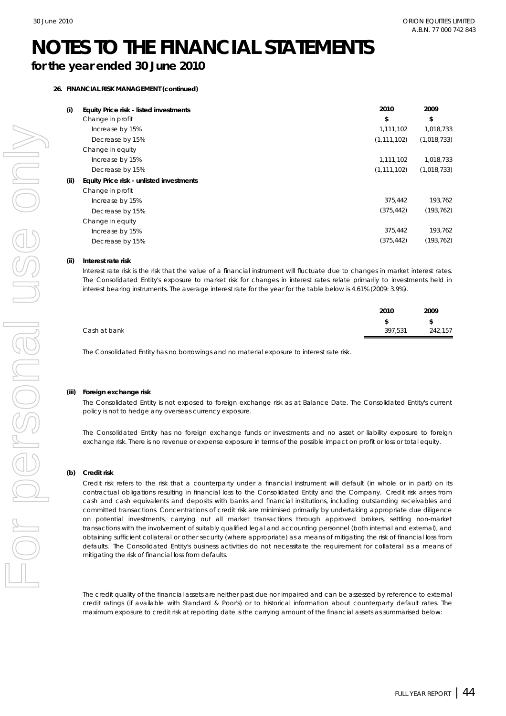# **for the year ended 30 June 2010**

### **26. FINANCIAL RISK MANAGEMENT (continued)**

| (i)  | Equity Price risk - listed investments   | 2010          | 2009        |
|------|------------------------------------------|---------------|-------------|
|      | Change in profit                         | \$            | \$          |
|      | Increase by 15%                          | 1,111,102     | 1,018,733   |
|      | Decrease by 15%                          | (1, 111, 102) | (1,018,733) |
|      | Change in equity                         |               |             |
|      | Increase by 15%                          | 1,111,102     | 1,018,733   |
|      | Decrease by 15%                          | (1, 111, 102) | (1,018,733) |
| (ii) | Equity Price risk - unlisted investments |               |             |
|      | Change in profit                         |               |             |
|      | Increase by 15%                          | 375,442       | 193,762     |
|      | Decrease by 15%                          | (375, 442)    | (193, 762)  |
|      | Change in equity                         |               |             |
|      | Increase by 15%                          | 375,442       | 193,762     |
|      | Decrease by 15%                          | (375, 442)    | (193, 762)  |

### **(ii) Interest rate risk**

Interest rate risk is the risk that the value of a financial instrument will fluctuate due to changes in market interest rates. The Consolidated Entity's exposure to market risk for changes in interest rates relate primarily to investments held in interest bearing instruments. The average interest rate for the year for the table below is 4.61% (2009: 3.9%).

|              | 2010    | 2009    |
|--------------|---------|---------|
|              |         | -\$     |
| Cash at bank | 397,531 | 242,157 |
|              |         |         |

The Consolidated Entity has no borrowings and no material exposure to interest rate risk.

### **(iii) Foreign exchange risk**

The Consolidated Entity is not exposed to foreign exchange risk as at Balance Date. The Consolidated Entity's current policy is not to hedge any overseas currency exposure.

The Consolidated Entity has no foreign exchange funds or investments and no asset or liability exposure to foreign exchange risk. There is no revenue or expense exposure in terms of the possible impact on profit or loss or total equity.

### **(b) Credit risk**

Credit risk refers to the risk that a counterparty under a financial instrument will default (in whole or in part) on its contractual obligations resulting in financial loss to the Consolidated Entity and the Company. Credit risk arises from cash and cash equivalents and deposits with banks and financial institutions, including outstanding receivables and committed transactions. Concentrations of credit risk are minimised primarily by undertaking appropriate due diligence on potential investments, carrying out all market transactions through approved brokers, settling non-market transactions with the involvement of suitably qualified legal and accounting personnel (both internal and external), and obtaining sufficient collateral or other security (where appropriate) as a means of mitigating the risk of financial loss from defaults. The Consolidated Entity's business activities do not necessitate the requirement for collateral as a means of mitigating the risk of financial loss from defaults.

The credit quality of the financial assets are neither past due nor impaired and can be assessed by reference to external credit ratings (if available with Standard & Poor's) or to historical information about counterparty default rates. The maximum exposure to credit risk at reporting date is the carrying amount of the financial assets as summarised below: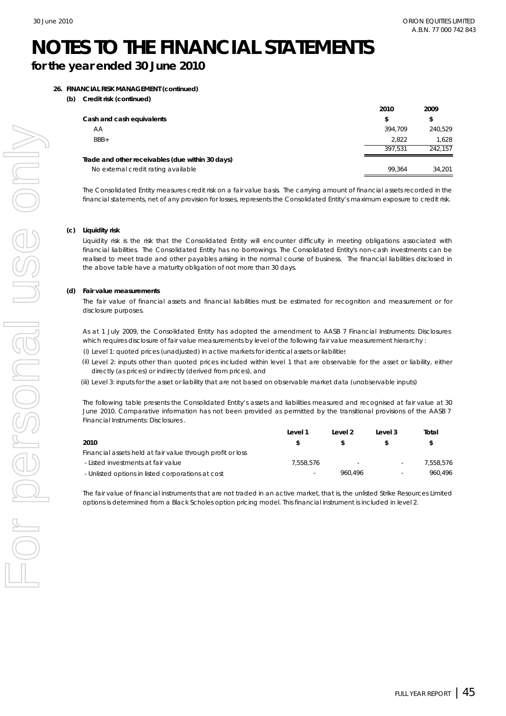# **for the year ended 30 June 2010**

## **26. FINANCIAL RISK MANAGEMENT (continued)**

**(b) Credit risk (continued)**

|                                                  | 2010    | 2009    |
|--------------------------------------------------|---------|---------|
| Cash and cash equivalents                        | \$      | \$      |
| AA                                               | 394.709 | 240.529 |
| $BBB+$                                           | 2.822   | 1.628   |
|                                                  | 397.531 | 242.157 |
| Trade and other receivables (due within 30 days) |         |         |
| No external credit rating available              | 99.364  | 34.201  |
|                                                  |         |         |

The Consolidated Entity measures credit risk on a fair value basis. The carrying amount of financial assets recorded in the financial statements, net of any provision for losses, represents the Consolidated Entity's maximum exposure to credit risk.

### **(c) Liquidity risk**

Liquidity risk is the risk that the Consolidated Entity will encounter difficulty in meeting obligations associated with financial liabilities. The Consolidated Entity has no borrowings. The Consolidated Entity's non-cash investments can be realised to meet trade and other payables arising in the normal course of business. The financial liabilities disclosed in the above table have a maturity obligation of not more than 30 days.

### **(d) Fair value measurements**

The fair value of financial assets and financial liabilities must be estimated for recognition and measurement or for disclosure purposes.

As at 1 July 2009, the Consolidated Entity has adopted the amendment to *AASB 7 Financial Instruments: Disclosures* which requires disclosure of fair value measurements by level of the following fair value measurement hierarchy :

(i) Level 1: quoted prices (unadjusted) in active markets for identical assets or liabilities

(ii) Level 2: inputs other than quoted prices included within level 1 that are observable for the asset or liability, either directly (as prices) or indirectly (derived from prices), and

(iii) Level 3: inputs for the asset or liability that are not based on observable market data (unobservable inputs)

The following table presents the Consolidated Entity's assets and liabilities measured and recognised at fair value at 30 June 2010. Comparative information has not been provided as permitted by the transitional provisions of the AASB 7 *Financial Instruments: Disclosures* .

|                                                            | Level 1   | Level 2 | Level 3 | Total     |
|------------------------------------------------------------|-----------|---------|---------|-----------|
| 2010                                                       |           |         |         |           |
| Financial assets held at fair value through profit or loss |           |         |         |           |
| - Listed investments at fair value                         | 7.558.576 |         | $\sim$  | 7.558.576 |
| - Unlisted options in listed corporations at cost          |           | 960.496 | $\,$    | 960.496   |

The fair value of financial instruments that are not traded in an active market, that is, the unlisted Strike Resources Limited options is determined from a Black Scholes option pricing model. This financial instrument is included in level 2.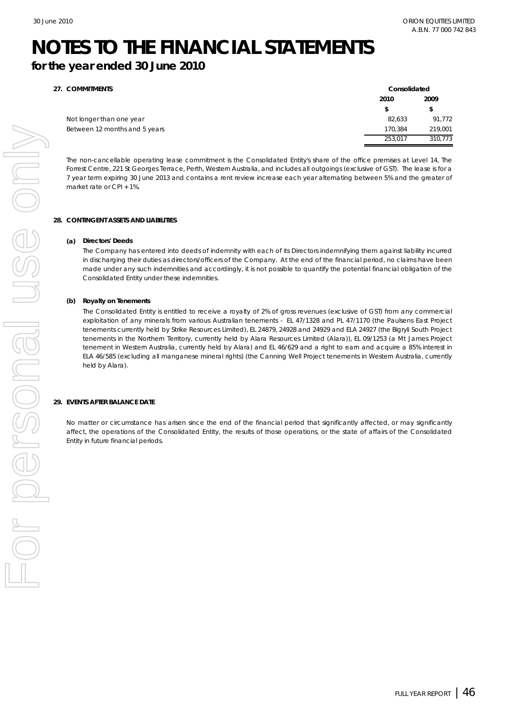| 27. COMMITMENTS               | Consolidated |         |  |
|-------------------------------|--------------|---------|--|
|                               | 2010         | 2009    |  |
|                               |              |         |  |
| Not longer than one year      | 82,633       | 91,772  |  |
| Between 12 months and 5 years | 170.384      | 219.001 |  |
|                               | 253,017      | 310,773 |  |

The non-cancellable operating lease commitment is the Consolidated Entity's share of the office premises at Level 14, The Forrest Centre, 221 St Georges Terrace, Perth, Western Australia, and includes all outgoings (exclusive of GST). The lease is for a 7 year term expiring 30 June 2013 and contains a rent review increase each year alternating between 5% and the greater of market rate or CPI + 1%.

### **28. CONTINGENT ASSETS AND LIABILITIES**

### **(a) Directors' Deeds**

The Company has entered into deeds of indemnity with each of its Directors indemnifying them against liability incurred in discharging their duties as directors/officers of the Company. At the end of the financial period, no claims have been made under any such indemnities and accordingly, it is not possible to quantify the potential financial obligation of the Consolidated Entity under these indemnities.

### **(b) Royalty on Tenements**

The Consolidated Entity is entitled to receive a royalty of 2% of gross revenues (exclusive of GST) from any commercial exploitation of any minerals from various Australian tenements - EL 47/1328 and PL 47/1170 (the Paulsens East Project tenements currently held by Strike Resources Limited), EL 24879, 24928 and 24929 and ELA 24927 (the Bigryli South Project tenements in the Northern Territory, currently held by Alara Resources Limited (Alara)), EL 09/1253 (a Mt James Project tenement in Western Australia, currently held by Alara) and EL 46/629 and a right to earn and acquire a 85% interest in ELA 46/585 (excluding all manganese mineral rights) (the Canning Well Project tenements in Western Australia, currently held by Alara).

### **29. EVENTS AFTER BALANCE DATE**

No matter or circumstance has arisen since the end of the financial period that significantly affected, or may significantly affect, the operations of the Consolidated Entity, the results of those operations, or the state of affairs of the Consolidated Entity in future financial periods.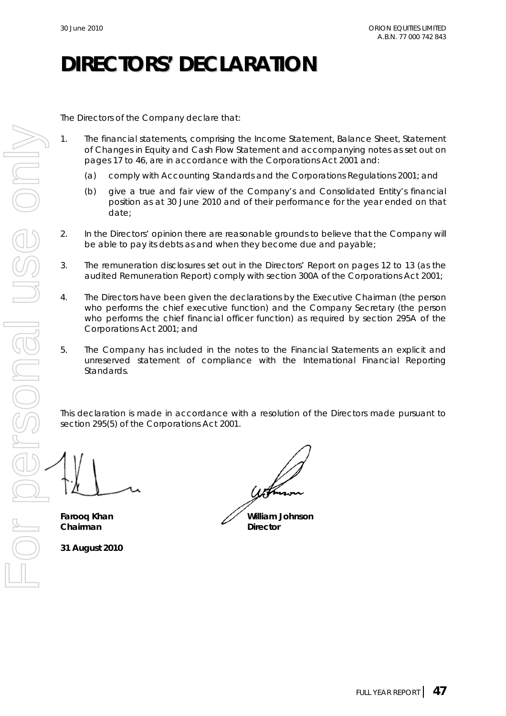# **DIRECTORS' DECLARATION**

The Directors of the Company declare that:

- 1. The financial statements, comprising the Income Statement, Balance Sheet, Statement of Changes in Equity and Cash Flow Statement and accompanying notes as set out on pages 17 to 46, are in accordance with the *Corporations Act 2001* and:
	- (a) comply with Accounting Standards and the Corporations Regulations 2001; and
	- (b) give a true and fair view of the Company's and Consolidated Entity's financial position as at 30 June 2010 and of their performance for the year ended on that date;
- 2. In the Directors' opinion there are reasonable grounds to believe that the Company will be able to pay its debts as and when they become due and payable;
- 3. The remuneration disclosures set out in the Directors' Report on pages 12 to 13 (as the audited Remuneration Report) comply with section 300A of the *Corporations Act 2001*;
- 4. The Directors have been given the declarations by the Executive Chairman (the person who performs the chief executive function) and the Company Secretary (the person who performs the chief financial officer function) as required by section 295A of the *Corporations Act 2001*; and
- 5. The Company has included in the notes to the Financial Statements an explicit and unreserved statement of compliance with the International Financial Reporting Standards.

This declaration is made in accordance with a resolution of the Directors made pursuant to section 295(5) of the *Corporations Act 2001*.

**Chairman** Director

**31 August 2010** 

**Farooq Khan William Johnson**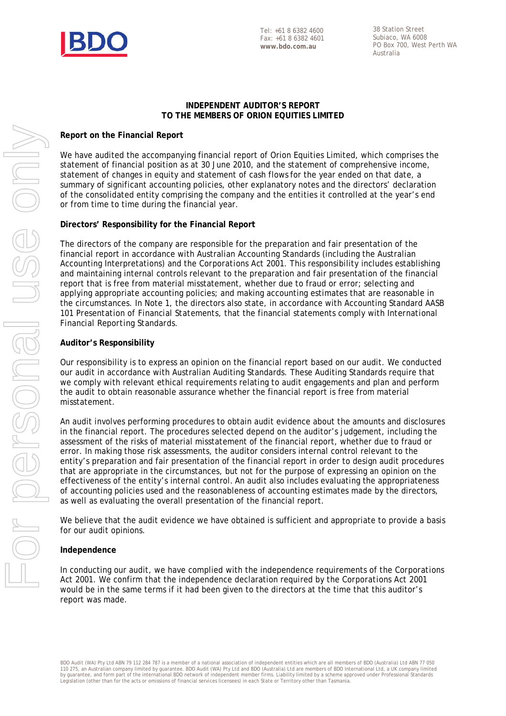

Tel: +61 8 6382 4600 Fax: +61 8 6382 4601 **www.bdo.com.au** 

38 Station Street Subiaco, WA 6008 PO Box 700, West Perth WA Australia

## **INDEPENDENT AUDITOR'S REPORT TO THE MEMBERS OF ORION EQUITIES LIMITED**

# **Report on the Financial Report**

We have audited the accompanying financial report of Orion Equities Limited, which comprises the statement of financial position as at 30 June 2010, and the statement of comprehensive income, statement of changes in equity and statement of cash flows for the year ended on that date, a summary of significant accounting policies, other explanatory notes and the directors' declaration of the consolidated entity comprising the company and the entities it controlled at the year's end or from time to time during the financial year.

# **Directors' Responsibility for the Financial Report**

The directors of the company are responsible for the preparation and fair presentation of the financial report in accordance with Australian Accounting Standards (including the Australian Accounting Interpretations) and the *Corporations Act 2001*. This responsibility includes establishing and maintaining internal controls relevant to the preparation and fair presentation of the financial report that is free from material misstatement, whether due to fraud or error; selecting and applying appropriate accounting policies; and making accounting estimates that are reasonable in the circumstances. In Note 1, the directors also state, in accordance with Accounting Standard AASB 101 *Presentation of Financial Statements,* that the financial statements comply with *International Financial Reporting Standards*.

## **Auditor's Responsibility**

Our responsibility is to express an opinion on the financial report based on our audit. We conducted our audit in accordance with Australian Auditing Standards. These Auditing Standards require that we comply with relevant ethical requirements relating to audit engagements and plan and perform the audit to obtain reasonable assurance whether the financial report is free from material misstatement.

An audit involves performing procedures to obtain audit evidence about the amounts and disclosures in the financial report. The procedures selected depend on the auditor's judgement, including the assessment of the risks of material misstatement of the financial report, whether due to fraud or error. In making those risk assessments, the auditor considers internal control relevant to the entity's preparation and fair presentation of the financial report in order to design audit procedures that are appropriate in the circumstances, but not for the purpose of expressing an opinion on the effectiveness of the entity's internal control. An audit also includes evaluating the appropriateness of accounting policies used and the reasonableness of accounting estimates made by the directors, as well as evaluating the overall presentation of the financial report.

We believe that the audit evidence we have obtained is sufficient and appropriate to provide a basis for our audit opinions.

## **Independence**

In conducting our audit, we have complied with the independence requirements of the *Corporations Act 2001*. We confirm that the independence declaration required by the *Corporations Act 2001* would be in the same terms if it had been given to the directors at the time that this auditor's report was made.

BDO Audit (WA) Pty Ltd ABN 79 112 284 787 is a member of a national association of independent entities which are all members of BDO (Australia) Ltd ABN 77 050<br>110 275, an Australian company limited by guarantee. BDO Audit Legislation (other than for the acts or omissions of financial services licensees) in each State or Territory other than Tasmania.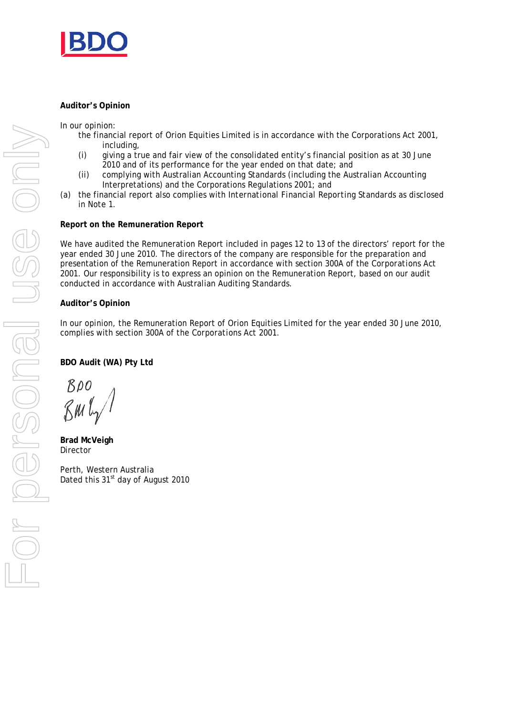

# **Auditor's Opinion**

In our opinion:

- the financial report of Orion Equities Limited is in accordance with the Corporations Act 2001, including,
- (i) giving a true and fair view of the consolidated entity's financial position as at 30 June 2010 and of its performance for the year ended on that date; and
- (ii) complying with Australian Accounting Standards (including the Australian Accounting Interpretations) and the Corporations Regulations 2001; and
- (a) the financial report also complies with *International Financial Reporting Standards* as disclosed in Note 1.

# **Report on the Remuneration Report**

We have audited the Remuneration Report included in pages 12 to 13 of the directors' report for the year ended 30 June 2010. The directors of the company are responsible for the preparation and presentation of the Remuneration Report in accordance with section 300A of the *Corporations Act 2001.* Our responsibility is to express an opinion on the Remuneration Report, based on our audit conducted in accordance with Australian Auditing Standards.

## **Auditor's Opinion**

In our opinion, the Remuneration Report of Orion Equities Limited for the year ended 30 June 2010, complies with section 300A of the *Corporations Act 2001.* 

# **BDO Audit (WA) Pty Ltd**

 $B\rho\sigma$ BMLY

**Brad McVeigh** Director

Perth, Western Australia Dated this 31<sup>st</sup> day of August 2010